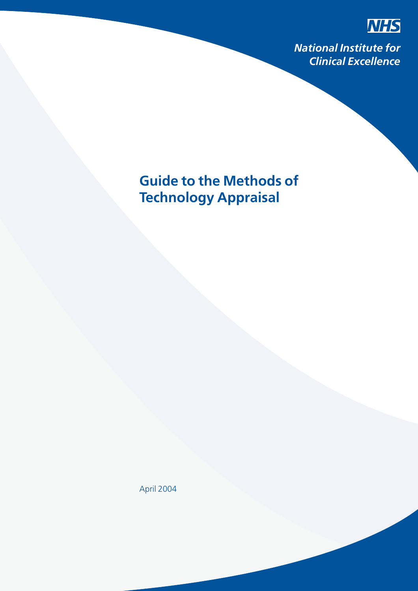

*National Institute for Clinical Excellence*

# **Guide to the Methods of Technology Appraisal**

April 2004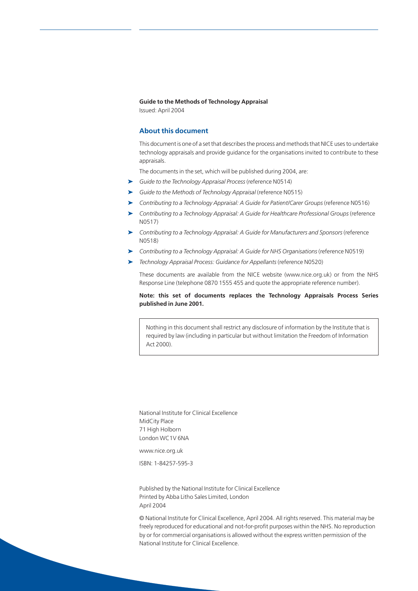## **Guide to the Methods of Technology Appraisal** Issued: April 2004

# **About this document**

This document is one of a set that describes the process and methods that NICE uses to undertake technology appraisals and provide guidance for the organisations invited to contribute to these appraisals.

The documents in the set, which will be published during 2004, are:

- ➤ *Guide to the Technology Appraisal Process* (reference N0514)
- ➤ *Guide to the Methods of Technology Appraisal* (reference N0515)
- ➤ *Contributing to a Technology Appraisal: A Guide for Patient/Carer Groups* (reference N0516)
- ➤ *Contributing to a Technology Appraisal: A Guide for Healthcare Professional Groups* (reference N0517)
- ➤ *Contributing to a Technology Appraisal: A Guide for Manufacturers and Sponsors* (reference N0518)
- ➤ *Contributing to a Technology Appraisal: A Guide for NHS Organisations* (reference N0519)
- ➤ *Technology Appraisal Process: Guidance for Appellants* (reference N0520)

These documents are available from the NICE website (www.nice.org.uk) or from the NHS Response Line (telephone 0870 1555 455 and quote the appropriate reference number).

# **Note: this set of documents replaces the Technology Appraisals Process Series published in June 2001.**

Nothing in this document shall restrict any disclosure of information by the Institute that is required by law (including in particular but without limitation the Freedom of Information Act 2000).

National Institute for Clinical Excellence MidCity Place 71 High Holborn London WC1V 6NA

www.nice.org.uk

ISBN: 1-84257-595-3

Published by the National Institute for Clinical Excellence Printed by Abba Litho Sales Limited, London April 2004

© National Institute for Clinical Excellence, April 2004. All rights reserved. This material may be freely reproduced for educational and not-for-profit purposes within the NHS. No reproduction by or for commercial organisations is allowed without the express written permission of the National Institute for Clinical Excellence.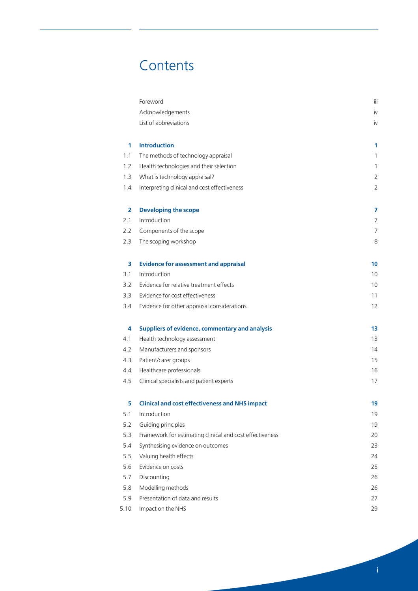# **Contents**

|                | Foreword                                                 | iii            |
|----------------|----------------------------------------------------------|----------------|
|                | Acknowledgements                                         | iv             |
|                | List of abbreviations                                    | İV             |
| 1              | <b>Introduction</b>                                      | 1              |
| 1.1            | The methods of technology appraisal                      | 1              |
| 1.2            | Health technologies and their selection                  | 1              |
| 1.3            | What is technology appraisal?                            | $\overline{2}$ |
| 1.4            | Interpreting clinical and cost effectiveness             | $\overline{2}$ |
| $\overline{2}$ | <b>Developing the scope</b>                              | 7              |
| 2.1            | Introduction                                             | 7              |
| 2.2            | Components of the scope                                  | 7              |
| 2.3            | The scoping workshop                                     | 8              |
| 3              | <b>Evidence for assessment and appraisal</b>             | 10             |
| 3.1            | Introduction                                             | 10             |
| 3.2            | Evidence for relative treatment effects                  | 10             |
| 3.3            | Evidence for cost effectiveness                          | 11             |
| 3.4            | Evidence for other appraisal considerations              | 12             |
| 4              | <b>Suppliers of evidence, commentary and analysis</b>    | 13             |
| 4.1            | Health technology assessment                             | 13             |
| 4.2            | Manufacturers and sponsors                               | 14             |
| 4.3            | Patient/carer groups                                     | 15             |
| 4.4            | Healthcare professionals                                 | 16             |
| 4.5            | Clinical specialists and patient experts                 | 17             |
| 5              | <b>Clinical and cost effectiveness and NHS impact</b>    | 19             |
| 5.1            | Introduction                                             | 19             |
| 5.2            | Guiding principles                                       | 19             |
| 5.3            | Framework for estimating clinical and cost effectiveness | 20             |
| 5.4            | Synthesising evidence on outcomes                        | 23             |
| 5.5            | Valuing health effects                                   | 24             |
| 5.6            | Evidence on costs                                        | 25             |
| 5.7            | Discounting                                              | 26             |
| 5.8            | Modelling methods                                        | 26             |
| 5.9            | Presentation of data and results                         | 27             |
| 5.10           | Impact on the NHS                                        | 29             |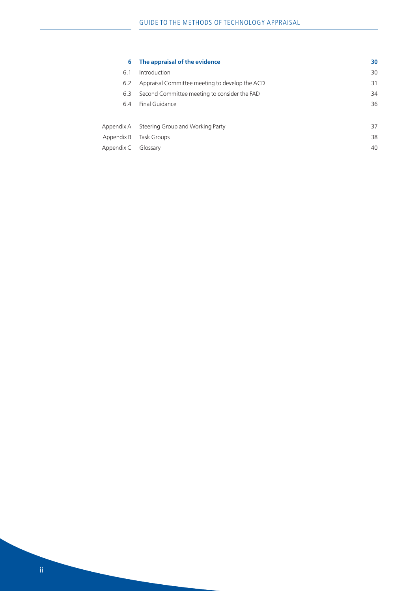| 6          | The appraisal of the evidence                  | 30 |
|------------|------------------------------------------------|----|
| 6.1        | Introduction                                   | 30 |
| 6.2        | Appraisal Committee meeting to develop the ACD | 31 |
| 6.3        | Second Committee meeting to consider the FAD   | 34 |
| 6.4        | Final Guidance                                 | 36 |
|            |                                                |    |
|            | Appendix A Steering Group and Working Party    | 37 |
| Appendix B | Task Groups                                    | 38 |
| Appendix C | Glossary                                       | 40 |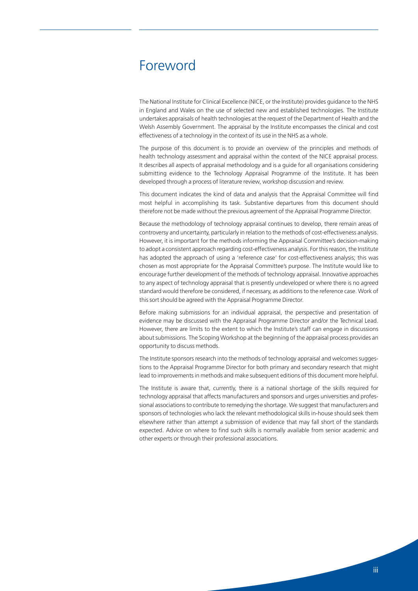# Foreword

The National Institute for Clinical Excellence (NICE, or the Institute) provides guidance to the NHS in England and Wales on the use of selected new and established technologies. The Institute undertakes appraisals of health technologies at the request of the Department of Health and the Welsh Assembly Government. The appraisal by the Institute encompasses the clinical and cost effectiveness of a technology in the context of its use in the NHS as a whole.

The purpose of this document is to provide an overview of the principles and methods of health technology assessment and appraisal within the context of the NICE appraisal process. It describes all aspects of appraisal methodology and is a guide for all organisations considering submitting evidence to the Technology Appraisal Programme of the Institute. It has been developed through a process of literature review, workshop discussion and review.

This document indicates the kind of data and analysis that the Appraisal Committee will find most helpful in accomplishing its task. Substantive departures from this document should therefore not be made without the previous agreement of the Appraisal Programme Director.

Because the methodology of technology appraisal continues to develop, there remain areas of controversy and uncertainty, particularly in relation to the methods of cost-effectiveness analysis. However, it is important for the methods informing the Appraisal Committee's decision-making to adopt a consistent approach regarding cost-effectiveness analysis. For this reason, the Institute has adopted the approach of using a 'reference case' for cost-effectiveness analysis; this was chosen as most appropriate for the Appraisal Committee's purpose. The Institute would like to encourage further development of the methods of technology appraisal. Innovative approaches to any aspect of technology appraisal that is presently undeveloped or where there is no agreed standard would therefore be considered, if necessary, as additions to the reference case. Work of this sort should be agreed with the Appraisal Programme Director.

Before making submissions for an individual appraisal, the perspective and presentation of evidence may be discussed with the Appraisal Programme Director and/or the Technical Lead. However, there are limits to the extent to which the Institute's staff can engage in discussions about submissions. The Scoping Workshop at the beginning of the appraisal process provides an opportunity to discuss methods.

The Institute sponsors research into the methods of technology appraisal and welcomes suggestions to the Appraisal Programme Director for both primary and secondary research that might lead to improvements in methods and make subsequent editions of this document more helpful.

The Institute is aware that, currently, there is a national shortage of the skills required for technology appraisal that affects manufacturers and sponsors and urges universities and professional associations to contribute to remedying the shortage. We suggest that manufacturers and sponsors of technologies who lack the relevant methodological skills in-house should seek them elsewhere rather than attempt a submission of evidence that may fall short of the standards expected. Advice on where to find such skills is normally available from senior academic and other experts or through their professional associations.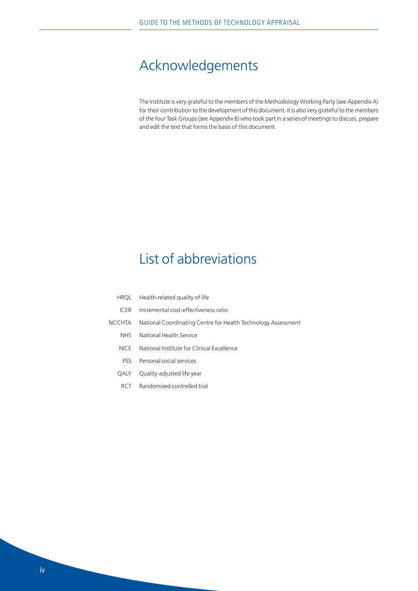# Acknowledgements

The Institute is very grateful to the members of the Methodology Working Party (see Appendix A) for their contribution to the development of this document. It is also very grateful to the members of the four Task Groups (see Appendix B) who took part in a series of meetings to discuss, prepare and edit the text that forms the basis of this document.

# List of abbreviations

- HRQL Health-related quality of life
- ICER Incremental cost-effectiveness ratio
- NCCHTA National Coordinating Centre for Health Technology Assessment
	- NHS National Health Service
	- NICE National Institute for Clinical Excellence
	- PSS Personal social services
	- QALY Quality-adjusted life year
		- RCT Randomised controlled trial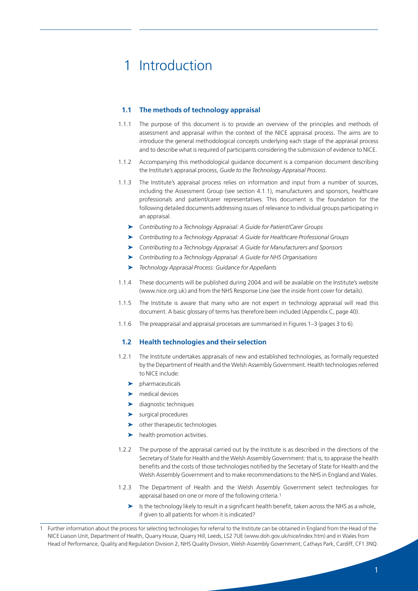# 1 Introduction

# **1.1 The methods of technology appraisal**

- 1.1.1 The purpose of this document is to provide an overview of the principles and methods of assessment and appraisal within the context of the NICE appraisal process. The aims are to introduce the general methodological concepts underlying each stage of the appraisal process and to describe what is required of participants considering the submission of evidence to NICE.
- 1.1.2 Accompanying this methodological guidance document is a companion document describing the Institute's appraisal process, *Guide to the Technology Appraisal Process*.
- 1.1.3 The Institute's appraisal process relies on information and input from a number of sources, including the Assessment Group (see section 4.1.1), manufacturers and sponsors, healthcare professionals and patient/carer representatives. This document is the foundation for the following detailed documents addressing issues of relevance to individual groups participating in an appraisal.
	- ➤ *Contributing to a Technology Appraisal: A Guide for Patient/Carer Groups*
	- ➤ *Contributing to a Technology Appraisal: A Guide for Healthcare Professional Groups*
	- ➤ *Contributing to a Technology Appraisal: A Guide for Manufacturers and Sponsors*
	- ➤ *Contributing to a Technology Appraisal: A Guide for NHS Organisations*
	- ➤ *Technology Appraisal Process: Guidance for Appellants*
- 1.1.4 These documents will be published during 2004 and will be available on the Institute's website (www.nice.org.uk) and from the NHS Response Line (see the inside front cover for details).
- 1.1.5 The Institute is aware that many who are not expert in technology appraisal will read this document. A basic glossary of terms has therefore been included (Appendix C, page 40).
- 1.1.6 The preappraisal and appraisal processes are summarised in Figures 1–3 (pages 3 to 6).

# **1.2 Health technologies and their selection**

- 1.2.1 The Institute undertakes appraisals of new and established technologies, as formally requested by the Department of Health and the Welsh Assembly Government. Health technologies referred to NICE include:
	- ➤ pharmaceuticals
	- ➤ medical devices
	- ➤ diagnostic techniques
	- ➤ surgical procedures
	- ➤ other therapeutic technologies
	- ► health promotion activities.
- 1.2.2 The purpose of the appraisal carried out by the Institute is as described in the directions of the Secretary of State for Health and the Welsh Assembly Government: that is, to appraise the health benefits and the costs of those technologies notified by the Secretary of State for Health and the Welsh Assembly Government and to make recommendations to the NHS in England and Wales.
- 1.2.3 The Department of Health and the Welsh Assembly Government select technologies for appraisal based on one or more of the following criteria.<sup>1</sup>
	- ➤ Is the technology likely to result in a significant health benefit, taken across the NHS as a whole, if given to all patients for whom it is indicated?

<sup>1</sup> Further information about the process for selecting technologies for referral to the Institute can be obtained in England from the Head of the NICE Liaison Unit, Department of Health, Quarry House, Quarry Hill, Leeds, LS2 7UE (www.doh.gov.uk/nice/index.htm) and in Wales from Head of Performance, Quality and Regulation Division 2, NHS Quality Division, Welsh Assembly Government, Cathays Park, Cardiff, CF1 3NQ.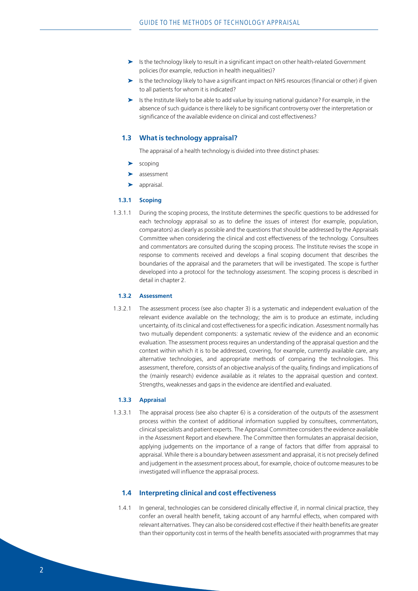- ➤ Is the technology likely to result in a significant impact on other health-related Government policies (for example, reduction in health inequalities)?
- ➤ Is the technology likely to have a significant impact on NHS resources (financial or other) if given to all patients for whom it is indicated?
- ➤ Is the Institute likely to be able to add value by issuing national guidance? For example, in the absence of such guidance is there likely to be significant controversy over the interpretation or significance of the available evidence on clinical and cost effectiveness?

# **1.3 What is technology appraisal?**

The appraisal of a health technology is divided into three distinct phases:

- ➤ scoping
- ➤ assessment
- ➤ appraisal.

#### **1.3.1 Scoping**

1.3.1.1 During the scoping process, the Institute determines the specific questions to be addressed for each technology appraisal so as to define the issues of interest (for example, population, comparators) as clearly as possible and the questions that should be addressed by the Appraisals Committee when considering the clinical and cost effectiveness of the technology. Consultees and commentators are consulted during the scoping process. The Institute revises the scope in response to comments received and develops a final scoping document that describes the boundaries of the appraisal and the parameters that will be investigated. The scope is further developed into a protocol for the technology assessment. The scoping process is described in detail in chapter 2.

# **1.3.2 Assessment**

1.3.2.1 The assessment process (see also chapter 3) is a systematic and independent evaluation of the relevant evidence available on the technology; the aim is to produce an estimate, including uncertainty, of its clinical and cost effectiveness for a specific indication. Assessment normally has two mutually dependent components: a systematic review of the evidence and an economic evaluation. The assessment process requires an understanding of the appraisal question and the context within which it is to be addressed, covering, for example, currently available care, any alternative technologies, and appropriate methods of comparing the technologies. This assessment, therefore, consists of an objective analysis of the quality, findings and implications of the (mainly research) evidence available as it relates to the appraisal question and context. Strengths, weaknesses and gaps in the evidence are identified and evaluated.

# **1.3.3 Appraisal**

1.3.3.1 The appraisal process (see also chapter 6) is a consideration of the outputs of the assessment process within the context of additional information supplied by consultees, commentators, clinical specialists and patient experts. The Appraisal Committee considers the evidence available in the Assessment Report and elsewhere. The Committee then formulates an appraisal decision, applying judgements on the importance of a range of factors that differ from appraisal to appraisal. While there is a boundary between assessment and appraisal, it is not precisely defined and judgement in the assessment process about, for example, choice of outcome measures to be investigated will influence the appraisal process.

# **1.4 Interpreting clinical and cost effectiveness**

1.4.1 In general, technologies can be considered clinically effective if, in normal clinical practice, they confer an overall health benefit, taking account of any harmful effects, when compared with relevant alternatives. They can also be considered cost effective if their health benefits are greater than their opportunity cost in terms of the health benefits associated with programmes that may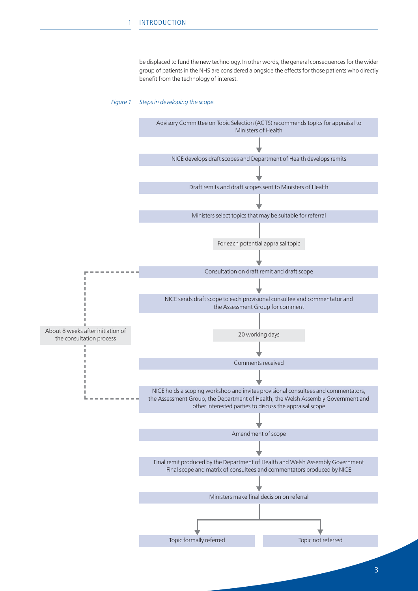be displaced to fund the new technology. In other words, the general consequences for the wider group of patients in the NHS are considered alongside the effects for those patients who directly benefit from the technology of interest.

### *Figure 1 Steps in developing the scope.*

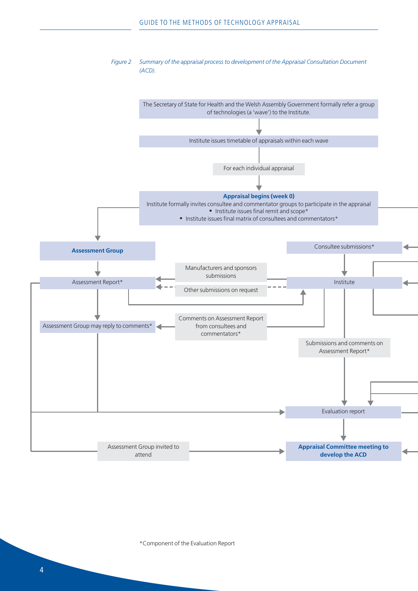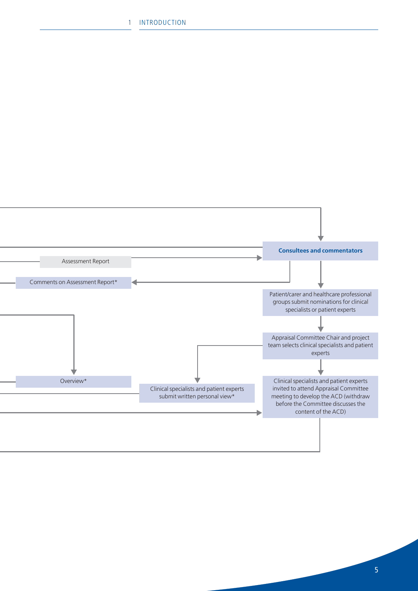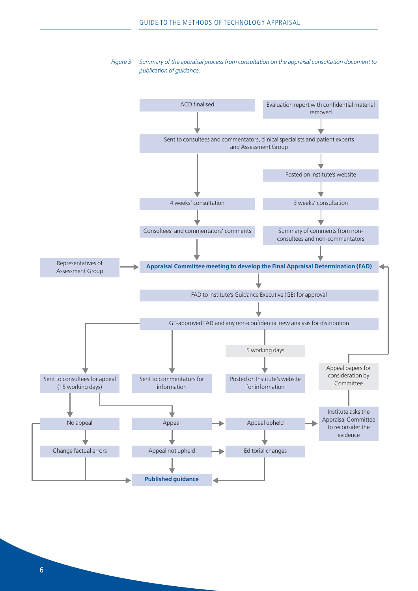![](_page_11_Figure_1.jpeg)

*Figure 3 Summary of the appraisal process from consultation on the appraisal consultation document to publication of guidance.*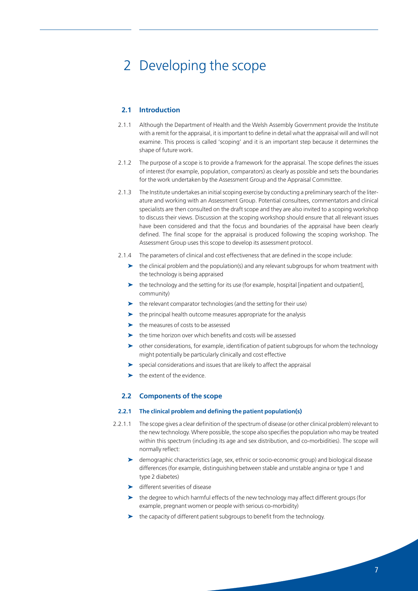# 2 Developing the scope

# **2.1 Introduction**

- 2.1.1 Although the Department of Health and the Welsh Assembly Government provide the Institute with a remit for the appraisal, it is important to define in detail what the appraisal will and will not examine. This process is called 'scoping' and it is an important step because it determines the shape of future work.
- 2.1.2 The purpose of a scope is to provide a framework for the appraisal. The scope defines the issues of interest (for example, population, comparators) as clearly as possible and sets the boundaries for the work undertaken by the Assessment Group and the Appraisal Committee.
- 2.1.3 The Institute undertakes an initial scoping exercise by conducting a preliminary search of the literature and working with an Assessment Group. Potential consultees, commentators and clinical specialists are then consulted on the draft scope and they are also invited to a scoping workshop to discuss their views. Discussion at the scoping workshop should ensure that all relevant issues have been considered and that the focus and boundaries of the appraisal have been clearly defined. The final scope for the appraisal is produced following the scoping workshop. The Assessment Group uses this scope to develop its assessment protocol.
- 2.1.4 The parameters of clinical and cost effectiveness that are defined in the scope include:
	- ➤ the clinical problem and the population(s) and any relevant subgroups for whom treatment with the technology is being appraised
	- ➤ the technology and the setting for its use (for example, hospital [inpatient and outpatient], community)
	- ➤ the relevant comparator technologies (and the setting for their use)
	- ➤ the principal health outcome measures appropriate for the analysis
	- ➤ the measures of costs to be assessed
	- ➤ the time horizon over which benefits and costs will be assessed
	- ➤ other considerations, for example, identification of patient subgroups for whom the technology might potentially be particularly clinically and cost effective
	- ➤ special considerations and issues that are likely to affect the appraisal
	- $\blacktriangleright$  the extent of the evidence.

# **2.2 Components of the scope**

# **2.2.1 The clinical problem and defining the patient population(s)**

- 2.2.1.1 The scope gives a clear definition of the spectrum of disease (or other clinical problem) relevant to the new technology. Where possible, the scope also specifies the population who may be treated within this spectrum (including its age and sex distribution, and co-morbidities). The scope will normally reflect:
	- ➤ demographic characteristics (age, sex, ethnic or socio-economic group) and biological disease differences (for example, distinguishing between stable and unstable angina or type 1 and type 2 diabetes)
	- ➤ different severities of disease
	- ➤ the degree to which harmful effects of the new technology may affect different groups (for example, pregnant women or people with serious co-morbidity)
	- ➤ the capacity of different patient subgroups to benefit from the technology.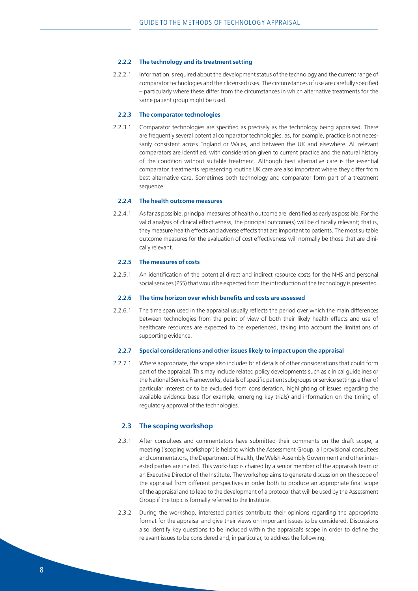#### **2.2.2 The technology and its treatment setting**

2.2.2.1 Information is required about the development status of the technology and the current range of comparator technologies and their licensed uses. The circumstances of use are carefully specified – particularly where these differ from the circumstances in which alternative treatments for the same patient group might be used.

# **2.2.3 The comparator technologies**

2.2.3.1 Comparator technologies are specified as precisely as the technology being appraised. There are frequently several potential comparator technologies, as, for example, practice is not necessarily consistent across England or Wales, and between the UK and elsewhere. All relevant comparators are identified, with consideration given to current practice and the natural history of the condition without suitable treatment. Although best alternative care is the essential comparator, treatments representing routine UK care are also important where they differ from best alternative care. Sometimes both technology and comparator form part of a treatment sequence.

## **2.2.4 The health outcome measures**

2.2.4.1 As far as possible, principal measures of health outcome are identified as early as possible. For the valid analysis of clinical effectiveness, the principal outcome(s) will be clinically relevant; that is, they measure health effects and adverse effects that are important to patients. The most suitable outcome measures for the evaluation of cost effectiveness will normally be those that are clinically relevant.

### **2.2.5 The measures of costs**

2.2.5.1 An identification of the potential direct and indirect resource costs for the NHS and personal social services (PSS) that would be expected from the introduction of the technology is presented.

# **2.2.6 The time horizon over which benefits and costs are assessed**

2.2.6.1 The time span used in the appraisal usually reflects the period over which the main differences between technologies from the point of view of both their likely health effects and use of healthcare resources are expected to be experienced, taking into account the limitations of supporting evidence.

#### **2.2.7 Special considerations and other issues likely to impact upon the appraisal**

2.2.7.1 Where appropriate, the scope also includes brief details of other considerations that could form part of the appraisal. This may include related policy developments such as clinical guidelines or the National Service Frameworks, details of specific patient subgroups or service settings either of particular interest or to be excluded from consideration, highlighting of issues regarding the available evidence base (for example, emerging key trials) and information on the timing of regulatory approval of the technologies.

# **2.3 The scoping workshop**

- 2.3.1 After consultees and commentators have submitted their comments on the draft scope, a meeting ('scoping workshop') is held to which the Assessment Group, all provisional consultees and commentators, the Department of Health, the Welsh Assembly Government and other interested parties are invited. This workshop is chaired by a senior member of the appraisals team or an Executive Director of the Institute. The workshop aims to generate discussion on the scope of the appraisal from different perspectives in order both to produce an appropriate final scope of the appraisal and to lead to the development of a protocol that will be used by the Assessment Group if the topic is formally referred to the Institute.
- 2.3.2 During the workshop, interested parties contribute their opinions regarding the appropriate format for the appraisal and give their views on important issues to be considered. Discussions also identify key questions to be included within the appraisal's scope in order to define the relevant issues to be considered and, in particular, to address the following: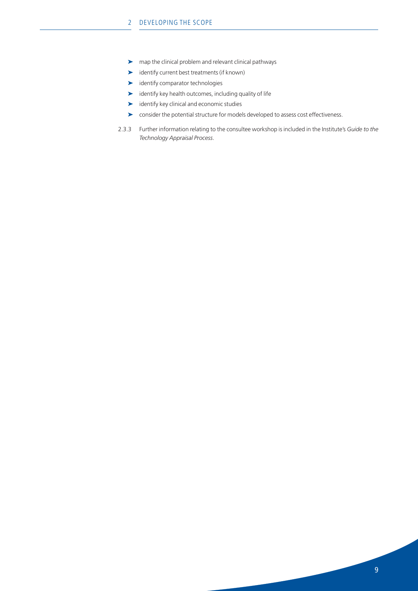- ➤ map the clinical problem and relevant clinical pathways
- ➤ identify current best treatments (if known)
- ➤ identify comparator technologies
- ➤ identify key health outcomes, including quality of life
- ➤ identify key clinical and economic studies
- ➤ consider the potential structure for models developed to assess cost effectiveness.
- 2.3.3 Further information relating to the consultee workshop is included in the Institute's *Guide to the Technology Appraisal Process*.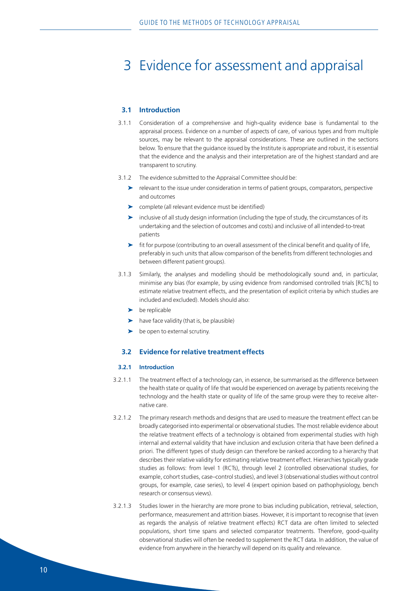# 3 Evidence for assessment and appraisal

# **3.1 Introduction**

- 3.1.1 Consideration of a comprehensive and high-quality evidence base is fundamental to the appraisal process. Evidence on a number of aspects of care, of various types and from multiple sources, may be relevant to the appraisal considerations. These are outlined in the sections below. To ensure that the guidance issued by the Institute is appropriate and robust, it is essential that the evidence and the analysis and their interpretation are of the highest standard and are transparent to scrutiny.
- 3.1.2 The evidence submitted to the Appraisal Committee should be:
	- ➤ relevant to the issue under consideration in terms of patient groups, comparators, perspective and outcomes
	- ➤ complete (all relevant evidence must be identified)
	- ➤ inclusive of all study design information (including the type of study, the circumstances of its undertaking and the selection of outcomes and costs) and inclusive of all intended-to-treat patients
	- ➤ fit for purpose (contributing to an overall assessment of the clinical benefit and quality of life, preferably in such units that allow comparison of the benefits from different technologies and between different patient groups).
- 3.1.3 Similarly, the analyses and modelling should be methodologically sound and, in particular, minimise any bias (for example, by using evidence from randomised controlled trials [RCTs] to estimate relative treatment effects, and the presentation of explicit criteria by which studies are included and excluded). Models should also:
	- $\blacktriangleright$  be replicable
	- $\blacktriangleright$  have face validity (that is, be plausible)
	- ▶ be open to external scrutiny.

# **3.2 Evidence for relative treatment effects**

# **3.2.1 Introduction**

- 3.2.1.1 The treatment effect of a technology can, in essence, be summarised as the difference between the health state or quality of life that would be experienced on average by patients receiving the technology and the health state or quality of life of the same group were they to receive alternative care.
- 3.2.1.2 The primary research methods and designs that are used to measure the treatment effect can be broadly categorised into experimental or observational studies. The most reliable evidence about the relative treatment effects of a technology is obtained from experimental studies with high internal and external validity that have inclusion and exclusion criteria that have been defined a priori. The different types of study design can therefore be ranked according to a hierarchy that describes their relative validity for estimating relative treatment effect. Hierarchies typically grade studies as follows: from level 1 (RCTs), through level 2 (controlled observational studies, for example, cohort studies, case–control studies), and level 3 (observational studies without control groups, for example, case series), to level 4 (expert opinion based on pathophysiology, bench research or consensus views).
- 3.2.1.3 Studies lower in the hierarchy are more prone to bias including publication, retrieval, selection, performance, measurement and attrition biases. However, it is important to recognise that (even as regards the analysis of relative treatment effects) RCT data are often limited to selected populations, short time spans and selected comparator treatments. Therefore, good-quality observational studies will often be needed to supplement the RCT data. In addition, the value of evidence from anywhere in the hierarchy will depend on its quality and relevance.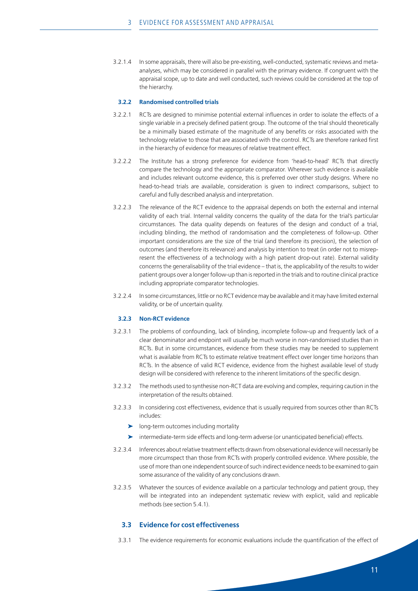3.2.1.4 In some appraisals, there will also be pre-existing, well-conducted, systematic reviews and metaanalyses, which may be considered in parallel with the primary evidence. If congruent with the appraisal scope, up to date and well conducted, such reviews could be considered at the top of the hierarchy.

#### **3.2.2 Randomised controlled trials**

- 3.2.2.1 RCTs are designed to minimise potential external influences in order to isolate the effects of a single variable in a precisely defined patient group. The outcome of the trial should theoretically be a minimally biased estimate of the magnitude of any benefits or risks associated with the technology relative to those that are associated with the control. RCTs are therefore ranked first in the hierarchy of evidence for measures of relative treatment effect.
- 3.2.2.2 The Institute has a strong preference for evidence from 'head-to-head' RCTs that directly compare the technology and the appropriate comparator. Wherever such evidence is available and includes relevant outcome evidence, this is preferred over other study designs. Where no head-to-head trials are available, consideration is given to indirect comparisons, subject to careful and fully described analysis and interpretation.
- 3.2.2.3 The relevance of the RCT evidence to the appraisal depends on both the external and internal validity of each trial. Internal validity concerns the quality of the data for the trial's particular circumstances. The data quality depends on features of the design and conduct of a trial, including blinding, the method of randomisation and the completeness of follow-up. Other important considerations are the size of the trial (and therefore its precision), the selection of outcomes (and therefore its relevance) and analysis by intention to treat (in order not to misrepresent the effectiveness of a technology with a high patient drop-out rate). External validity concerns the generalisability of the trial evidence – that is, the applicability of the results to wider patient groups over a longer follow-up than is reported in the trials and to routine clinical practice including appropriate comparator technologies.
- 3.2.2.4 In some circumstances, little or no RCT evidence may be available and it may have limited external validity, or be of uncertain quality.

# **3.2.3 Non-RCT evidence**

- 3.2.3.1 The problems of confounding, lack of blinding, incomplete follow-up and frequently lack of a clear denominator and endpoint will usually be much worse in non-randomised studies than in RCTs. But in some circumstances, evidence from these studies may be needed to supplement what is available from RCTs to estimate relative treatment effect over longer time horizons than RCTs. In the absence of valid RCT evidence, evidence from the highest available level of study design will be considered with reference to the inherent limitations of the specific design.
- 3.2.3.2 The methods used to synthesise non-RCT data are evolving and complex, requiring caution in the interpretation of the results obtained.
- 3.2.3.3 In considering cost effectiveness, evidence that is usually required from sources other than RCTs includes:
	- ➤ long-term outcomes including mortality
	- ➤ intermediate-term side effects and long-term adverse (or unanticipated beneficial) effects.
- 3.2.3.4 Inferences about relative treatment effects drawn from observational evidence will necessarily be more circumspect than those from RCTs with properly controlled evidence. Where possible, the use of more than one independent source of such indirect evidence needs to be examined to gain some assurance of the validity of any conclusions drawn.
- 3.2.3.5 Whatever the sources of evidence available on a particular technology and patient group, they will be integrated into an independent systematic review with explicit, valid and replicable methods (see section 5.4.1).

# **3.3 Evidence for cost effectiveness**

3.3.1 The evidence requirements for economic evaluations include the quantification of the effect of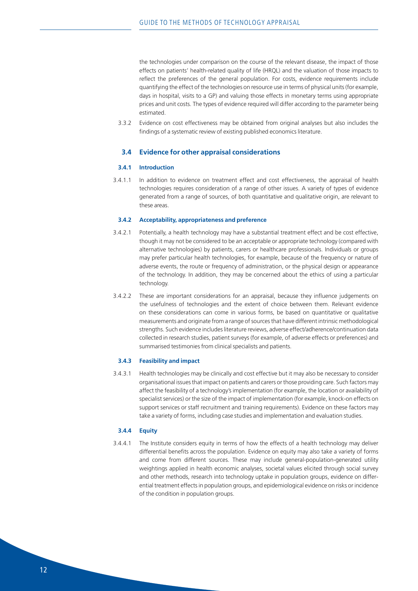the technologies under comparison on the course of the relevant disease, the impact of those effects on patients' health-related quality of life (HRQL) and the valuation of those impacts to reflect the preferences of the general population. For costs, evidence requirements include quantifying the effect of the technologies on resource use in terms of physical units (for example, days in hospital, visits to a GP) and valuing those effects in monetary terms using appropriate prices and unit costs. The types of evidence required will differ according to the parameter being estimated.

3.3.2 Evidence on cost effectiveness may be obtained from original analyses but also includes the findings of a systematic review of existing published economics literature.

# **3.4 Evidence for other appraisal considerations**

# **3.4.1 Introduction**

3.4.1.1 In addition to evidence on treatment effect and cost effectiveness, the appraisal of health technologies requires consideration of a range of other issues. A variety of types of evidence generated from a range of sources, of both quantitative and qualitative origin, are relevant to these areas.

# **3.4.2 Acceptability, appropriateness and preference**

- 3.4.2.1 Potentially, a health technology may have a substantial treatment effect and be cost effective, though it may not be considered to be an acceptable or appropriate technology (compared with alternative technologies) by patients, carers or healthcare professionals. Individuals or groups may prefer particular health technologies, for example, because of the frequency or nature of adverse events, the route or frequency of administration, or the physical design or appearance of the technology. In addition, they may be concerned about the ethics of using a particular technology.
- 3.4.2.2 These are important considerations for an appraisal, because they influence judgements on the usefulness of technologies and the extent of choice between them. Relevant evidence on these considerations can come in various forms, be based on quantitative or qualitative measurements and originate from a range of sources that have different intrinsic methodological strengths. Such evidence includes literature reviews, adverse effect/adherence/continuation data collected in research studies, patient surveys (for example, of adverse effects or preferences) and summarised testimonies from clinical specialists and patients.

# **3.4.3 Feasibility and impact**

3.4.3.1 Health technologies may be clinically and cost effective but it may also be necessary to consider organisational issues that impact on patients and carers or those providing care. Such factors may affect the feasibility of a technology's implementation (for example, the location or availability of specialist services) or the size of the impact of implementation (for example, knock-on effects on support services or staff recruitment and training requirements). Evidence on these factors may take a variety of forms, including case studies and implementation and evaluation studies.

#### **3.4.4 Equity**

3.4.4.1 The Institute considers equity in terms of how the effects of a health technology may deliver differential benefits across the population. Evidence on equity may also take a variety of forms and come from different sources. These may include general-population-generated utility weightings applied in health economic analyses, societal values elicited through social survey and other methods, research into technology uptake in population groups, evidence on differential treatment effects in population groups, and epidemiological evidence on risks or incidence of the condition in population groups.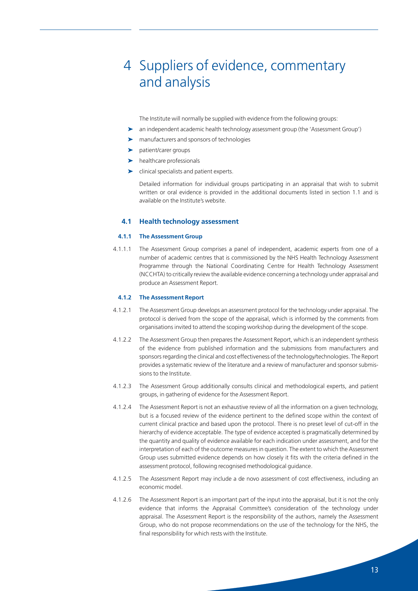# 4 Suppliers of evidence, commentary and analysis

The Institute will normally be supplied with evidence from the following groups:

- ➤ an independent academic health technology assessment group (the 'Assessment Group')
- ➤ manufacturers and sponsors of technologies
- ➤ patient/carer groups
- ➤ healthcare professionals
- ➤ clinical specialists and patient experts.

Detailed information for individual groups participating in an appraisal that wish to submit written or oral evidence is provided in the additional documents listed in section 1.1 and is available on the Institute's website.

# **4.1 Health technology assessment**

# **4.1.1 The Assessment Group**

4.1.1.1 The Assessment Group comprises a panel of independent, academic experts from one of a number of academic centres that is commissioned by the NHS Health Technology Assessment Programme through the National Coordinating Centre for Health Technology Assessment (NCCHTA) to critically review the available evidence concerning a technology under appraisal and produce an Assessment Report.

# **4.1.2 The Assessment Report**

- 4.1.2.1 The Assessment Group develops an assessment protocol for the technology under appraisal. The protocol is derived from the scope of the appraisal, which is informed by the comments from organisations invited to attend the scoping workshop during the development of the scope.
- 4.1.2.2 The Assessment Group then prepares the Assessment Report, which is an independent synthesis of the evidence from published information and the submissions from manufacturers and sponsors regarding the clinical and cost effectiveness of the technology/technologies. The Report provides a systematic review of the literature and a review of manufacturer and sponsor submissions to the Institute.
- 4.1.2.3 The Assessment Group additionally consults clinical and methodological experts, and patient groups, in gathering of evidence for the Assessment Report.
- 4.1.2.4 The Assessment Report is not an exhaustive review of all the information on a given technology, but is a focused review of the evidence pertinent to the defined scope within the context of current clinical practice and based upon the protocol. There is no preset level of cut-off in the hierarchy of evidence acceptable. The type of evidence accepted is pragmatically determined by the quantity and quality of evidence available for each indication under assessment, and for the interpretation of each of the outcome measures in question. The extent to which the Assessment Group uses submitted evidence depends on how closely it fits with the criteria defined in the assessment protocol, following recognised methodological guidance.
- 4.1.2.5 The Assessment Report may include a de novo assessment of cost effectiveness, including an economic model.
- 4.1.2.6 The Assessment Report is an important part of the input into the appraisal, but it is not the only evidence that informs the Appraisal Committee's consideration of the technology under appraisal. The Assessment Report is the responsibility of the authors, namely the Assessment Group, who do not propose recommendations on the use of the technology for the NHS, the final responsibility for which rests with the Institute.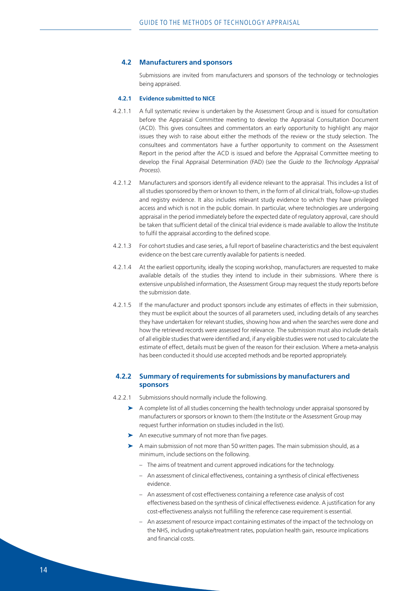### **4.2 Manufacturers and sponsors**

Submissions are invited from manufacturers and sponsors of the technology or technologies being appraised.

# **4.2.1 Evidence submitted to NICE**

- 4.2.1.1 A full systematic review is undertaken by the Assessment Group and is issued for consultation before the Appraisal Committee meeting to develop the Appraisal Consultation Document (ACD). This gives consultees and commentators an early opportunity to highlight any major issues they wish to raise about either the methods of the review or the study selection. The consultees and commentators have a further opportunity to comment on the Assessment Report in the period after the ACD is issued and before the Appraisal Committee meeting to develop the Final Appraisal Determination (FAD) (see the *Guide to the Technology Appraisal Process*).
- 4.2.1.2 Manufacturers and sponsors identify all evidence relevant to the appraisal. This includes a list of all studies sponsored by them or known to them, in the form of all clinical trials, follow-up studies and registry evidence. It also includes relevant study evidence to which they have privileged access and which is not in the public domain. In particular, where technologies are undergoing appraisal in the period immediately before the expected date of regulatory approval, care should be taken that sufficient detail of the clinical trial evidence is made available to allow the Institute to fulfil the appraisal according to the defined scope.
- 4.2.1.3 For cohort studies and case series, a full report of baseline characteristics and the best equivalent evidence on the best care currently available for patients is needed.
- 4.2.1.4 At the earliest opportunity, ideally the scoping workshop, manufacturers are requested to make available details of the studies they intend to include in their submissions. Where there is extensive unpublished information, the Assessment Group may request the study reports before the submission date.
- 4.2.1.5 If the manufacturer and product sponsors include any estimates of effects in their submission, they must be explicit about the sources of all parameters used, including details of any searches they have undertaken for relevant studies, showing how and when the searches were done and how the retrieved records were assessed for relevance. The submission must also include details of all eligible studies that were identified and, if any eligible studies were not used to calculate the estimate of effect, details must be given of the reason for their exclusion. Where a meta-analysis has been conducted it should use accepted methods and be reported appropriately.

# **4.2.2 Summary of requirements for submissions by manufacturers and sponsors**

- 4.2.2.1 Submissions should normally include the following.
	- ➤ A complete list of all studies concerning the health technology under appraisal sponsored by manufacturers or sponsors or known to them (the Institute or the Assessment Group may request further information on studies included in the list).
	- ➤ An executive summary of not more than five pages.
	- ➤ A main submission of not more than 50 written pages. The main submission should, as a minimum, include sections on the following.
		- The aims of treatment and current approved indications for the technology.
		- An assessment of clinical effectiveness, containing a synthesis of clinical effectiveness evidence.
		- An assessment of cost effectiveness containing a reference case analysis of cost effectiveness based on the synthesis of clinical effectiveness evidence. A justification for any cost-effectiveness analysis not fulfilling the reference case requirement is essential.
		- An assessment of resource impact containing estimates of the impact of the technology on the NHS, including uptake/treatment rates, population health gain, resource implications and financial costs.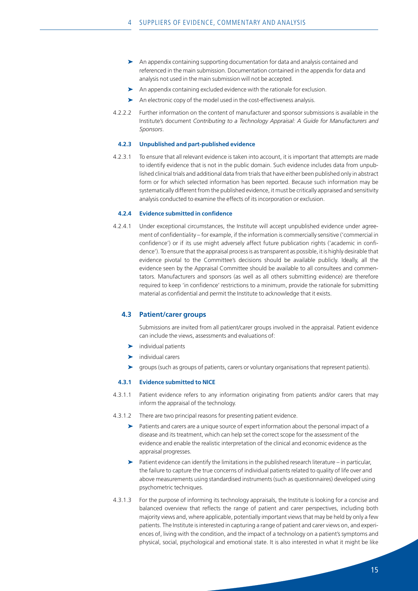- ➤ An appendix containing supporting documentation for data and analysis contained and referenced in the main submission. Documentation contained in the appendix for data and analysis not used in the main submission will not be accepted.
- ➤ An appendix containing excluded evidence with the rationale for exclusion.
- ➤ An electronic copy of the model used in the cost-effectiveness analysis.
- 4.2.2.2 Further information on the content of manufacturer and sponsor submissions is available in the Institute's document *Contributing to a Technology Appraisal: A Guide for Manufacturers and Sponsors*.

## **4.2.3 Unpublished and part-published evidence**

4.2.3.1 To ensure that all relevant evidence is taken into account, it is important that attempts are made to identify evidence that is not in the public domain. Such evidence includes data from unpublished clinical trials and additional data from trials that have either been published only in abstract form or for which selected information has been reported. Because such information may be systematically different from the published evidence, it must be critically appraised and sensitivity analysis conducted to examine the effects of its incorporation or exclusion.

# **4.2.4 Evidence submitted in confidence**

4.2.4.1 Under exceptional circumstances, the Institute will accept unpublished evidence under agreement of confidentiality – for example, if the information is commercially sensitive ('commercial in confidence') or if its use might adversely affect future publication rights ('academic in confidence'). To ensure that the appraisal process is as transparent as possible, it is highly desirable that evidence pivotal to the Committee's decisions should be available publicly. Ideally, all the evidence seen by the Appraisal Committee should be available to all consultees and commentators. Manufacturers and sponsors (as well as all others submitting evidence) are therefore required to keep 'in confidence' restrictions to a minimum, provide the rationale for submitting material as confidential and permit the Institute to acknowledge that it exists.

# **4.3 Patient/carer groups**

Submissions are invited from all patient/carer groups involved in the appraisal. Patient evidence can include the views, assessments and evaluations of:

- ➤ individual patients
- ➤ individual carers
- ➤ groups (such as groups of patients, carers or voluntary organisations that represent patients).

# **4.3.1 Evidence submitted to NICE**

- 4.3.1.1 Patient evidence refers to any information originating from patients and/or carers that may inform the appraisal of the technology.
- 4.3.1.2 There are two principal reasons for presenting patient evidence.
	- ➤ Patients and carers are a unique source of expert information about the personal impact of a disease and its treatment, which can help set the correct scope for the assessment of the evidence and enable the realistic interpretation of the clinical and economic evidence as the appraisal progresses.
	- ➤ Patient evidence can identify the limitations in the published research literature in particular, the failure to capture the true concerns of individual patients related to quality of life over and above measurements using standardised instruments (such as questionnaires) developed using psychometric techniques.
- 4.3.1.3 For the purpose of informing its technology appraisals, the Institute is looking for a concise and balanced overview that reflects the range of patient and carer perspectives, including both majority views and, where applicable, potentially important views that may be held by only a few patients. The Institute is interested in capturing a range of patient and carer views on, and experiences of, living with the condition, and the impact of a technology on a patient's symptoms and physical, social, psychological and emotional state. It is also interested in what it might be like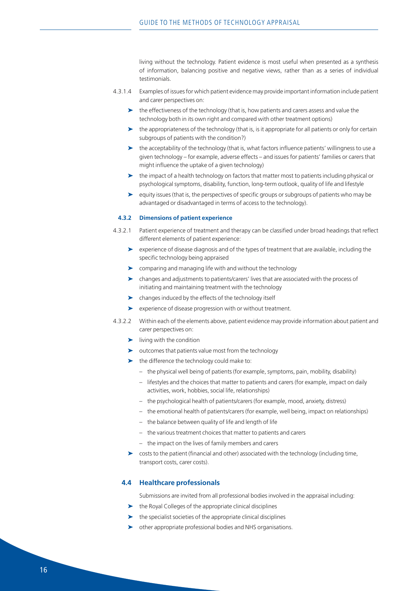living without the technology. Patient evidence is most useful when presented as a synthesis of information, balancing positive and negative views, rather than as a series of individual testimonials.

- 4.3.1.4 Examples of issues for which patient evidence may provide important information include patient and carer perspectives on:
	- ➤ the effectiveness of the technology (that is, how patients and carers assess and value the technology both in its own right and compared with other treatment options)
	- ► the appropriateness of the technology (that is, is it appropriate for all patients or only for certain subgroups of patients with the condition?)
	- ➤ the acceptability of the technology (that is, what factors influence patients' willingness to use a given technology – for example, adverse effects – and issues for patients' families or carers that might influence the uptake of a given technology)
	- ➤ the impact of a health technology on factors that matter most to patients including physical or psychological symptoms, disability, function, long-term outlook, quality of life and lifestyle
	- ➤ equity issues (that is, the perspectives of specific groups or subgroups of patients who may be advantaged or disadvantaged in terms of access to the technology).

# **4.3.2 Dimensions of patient experience**

- 4.3.2.1 Patient experience of treatment and therapy can be classified under broad headings that reflect different elements of patient experience:
	- ➤ experience of disease diagnosis and of the types of treatment that are available, including the specific technology being appraised
	- ➤ comparing and managing life with and without the technology
	- ➤ changes and adjustments to patients/carers' lives that are associated with the process of initiating and maintaining treatment with the technology
	- ➤ changes induced by the effects of the technology itself
	- ➤ experience of disease progression with or without treatment.
- 4.3.2.2 Within each of the elements above, patient evidence may provide information about patient and carer perspectives on:
	- ➤ living with the condition
	- ➤ outcomes that patients value most from the technology
	- ➤ the difference the technology could make to:
		- the physical well being of patients (for example, symptoms, pain, mobility, disability)
		- lifestyles and the choices that matter to patients and carers (for example, impact on daily activities, work, hobbies, social life, relationships)
		- the psychological health of patients/carers (for example, mood, anxiety, distress)
		- the emotional health of patients/carers (for example, well being, impact on relationships)
		- the balance between quality of life and length of life
		- the various treatment choices that matter to patients and carers
		- the impact on the lives of family members and carers
	- ➤ costs to the patient (financial and other) associated with the technology (including time, transport costs, carer costs).

# **4.4 Healthcare professionals**

Submissions are invited from all professional bodies involved in the appraisal including:

- ➤ the Royal Colleges of the appropriate clinical disciplines
- ➤ the specialist societies of the appropriate clinical disciplines
- ➤ other appropriate professional bodies and NHS organisations.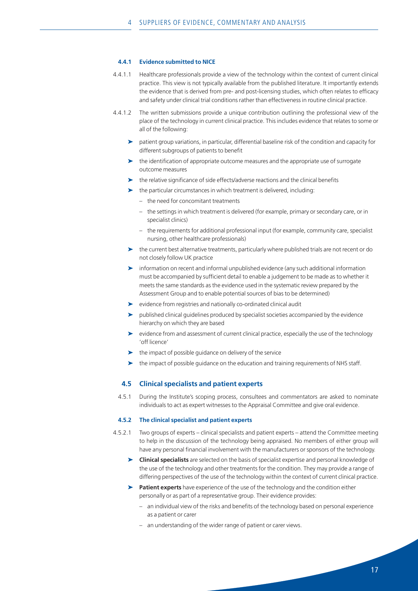# **4.4.1 Evidence submitted to NICE**

- 4.4.1.1 Healthcare professionals provide a view of the technology within the context of current clinical practice. This view is not typically available from the published literature. It importantly extends the evidence that is derived from pre- and post-licensing studies, which often relates to efficacy and safety under clinical trial conditions rather than effectiveness in routine clinical practice.
- 4.4.1.2 The written submissions provide a unique contribution outlining the professional view of the place of the technology in current clinical practice. This includes evidence that relates to some or all of the following:
	- ➤ patient group variations, in particular, differential baseline risk of the condition and capacity for different subgroups of patients to benefit
	- ➤ the identification of appropriate outcome measures and the appropriate use of surrogate outcome measures
	- ➤ the relative significance of side effects/adverse reactions and the clinical benefits
	- ➤ the particular circumstances in which treatment is delivered, including:
		- the need for concomitant treatments
		- the settings in which treatment is delivered (for example, primary or secondary care, or in specialist clinics)
		- the requirements for additional professional input (for example, community care, specialist nursing, other healthcare professionals)
	- ➤ the current best alternative treatments, particularly where published trials are not recent or do not closely follow UK practice
	- ➤ information on recent and informal unpublished evidence (any such additional information must be accompanied by sufficient detail to enable a judgement to be made as to whether it meets the same standards as the evidence used in the systematic review prepared by the Assessment Group and to enable potential sources of bias to be determined)
	- ➤ evidence from registries and nationally co-ordinated clinical audit
	- ➤ published clinical guidelines produced by specialist societies accompanied by the evidence hierarchy on which they are based
	- ➤ evidence from and assessment of current clinical practice, especially the use of the technology 'off licence'
	- ➤ the impact of possible guidance on delivery of the service
	- ➤ the impact of possible guidance on the education and training requirements of NHS staff.

# **4.5 Clinical specialists and patient experts**

4.5.1 During the Institute's scoping process, consultees and commentators are asked to nominate individuals to act as expert witnesses to the Appraisal Committee and give oral evidence.

# **4.5.2 The clinical specialist and patient experts**

- 4.5.2.1 Two groups of experts clinical specialists and patient experts attend the Committee meeting to help in the discussion of the technology being appraised. No members of either group will have any personal financial involvement with the manufacturers or sponsors of the technology.
	- ➤ **Clinical specialists** are selected on the basis of specialist expertise and personal knowledge of the use of the technology and other treatments for the condition. They may provide a range of differing perspectives of the use of the technology within the context of current clinical practice.
	- ➤ **Patient experts** have experience of the use of the technology and the condition either personally or as part of a representative group. Their evidence provides:
		- an individual view of the risks and benefits of the technology based on personal experience as a patient or carer
		- an understanding of the wider range of patient or carer views.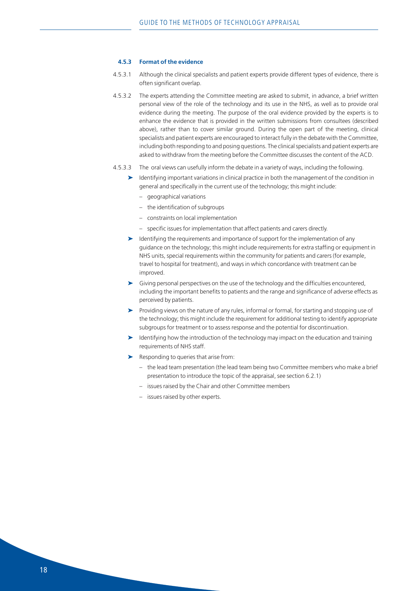## **4.5.3 Format of the evidence**

- 4.5.3.1 Although the clinical specialists and patient experts provide different types of evidence, there is often significant overlap.
- 4.5.3.2 The experts attending the Committee meeting are asked to submit, in advance, a brief written personal view of the role of the technology and its use in the NHS, as well as to provide oral evidence during the meeting. The purpose of the oral evidence provided by the experts is to enhance the evidence that is provided in the written submissions from consultees (described above), rather than to cover similar ground. During the open part of the meeting, clinical specialists and patient experts are encouraged to interact fully in the debate with the Committee, including both responding to and posing questions. The clinical specialists and patient experts are asked to withdraw from the meeting before the Committee discusses the content of the ACD.
- 4.5.3.3 The oral views can usefully inform the debate in a variety of ways, including the following.
	- ➤ Identifying important variations in clinical practice in both the management of the condition in general and specifically in the current use of the technology; this might include:
		- geographical variations
		- the identification of subgroups
		- constraints on local implementation
		- specific issues for implementation that affect patients and carers directly.
	- ➤ Identifying the requirements and importance of support for the implementation of any guidance on the technology; this might include requirements for extra staffing or equipment in NHS units, special requirements within the community for patients and carers (for example, travel to hospital for treatment), and ways in which concordance with treatment can be improved.
	- ➤ Giving personal perspectives on the use of the technology and the difficulties encountered, including the important benefits to patients and the range and significance of adverse effects as perceived by patients.
	- ➤ Providing views on the nature of any rules, informal or formal, for starting and stopping use of the technology; this might include the requirement for additional testing to identify appropriate subgroups for treatment or to assess response and the potential for discontinuation.
	- ➤ Identifying how the introduction of the technology may impact on the education and training requirements of NHS staff.
	- ▶ Responding to queries that arise from:
		- the lead team presentation (the lead team being two Committee members who make a brief presentation to introduce the topic of the appraisal, see section 6.2.1)
		- issues raised by the Chair and other Committee members
		- issues raised by other experts.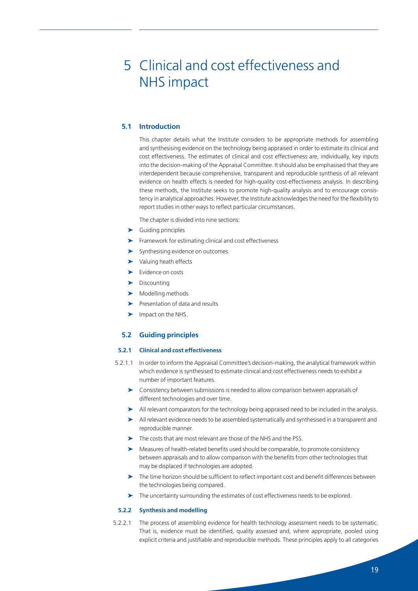# 5 Clinical and cost effectiveness and NHS impact

# **5.1 Introduction**

This chapter details what the Institute considers to be appropriate methods for assembling and synthesising evidence on the technology being appraised in order to estimate its clinical and cost effectiveness. The estimates of clinical and cost effectiveness are, individually, key inputs into the decision-making of the Appraisal Committee. It should also be emphasised that they are interdependent because comprehensive, transparent and reproducible synthesis of all relevant evidence on health effects is needed for high-quality cost-effectiveness analysis. In describing these methods, the Institute seeks to promote high-quality analysis and to encourage consistency in analytical approaches. However, the Institute acknowledges the need for the flexibility to report studies in other ways to reflect particular circumstances.

The chapter is divided into nine sections:

- ➤ Guiding principles
- ➤ Framework for estimating clinical and cost effectiveness
- Synthesising evidence on outcomes
- ➤ Valuing heath effects
- Evidence on costs
- ➤ Discounting
- ➤ Modelling methods
- ➤ Presentation of data and results
- ➤ Impact on the NHS.

# **5.2 Guiding principles**

## **5.2.1 Clinical and cost effectiveness**

- 5.2.1.1 In order to inform the Appraisal Committee's decision-making, the analytical framework within which evidence is synthesised to estimate clinical and cost effectiveness needs to exhibit a number of important features.
	- ➤ Consistency between submissions is needed to allow comparison between appraisals of different technologies and over time.
	- ▶ All relevant comparators for the technology being appraised need to be included in the analysis.
	- ➤ All relevant evidence needs to be assembled systematically and synthesised in a transparent and reproducible manner.
	- ➤ The costs that are most relevant are those of the NHS and the PSS.
	- ➤ Measures of health-related benefits used should be comparable, to promote consistency between appraisals and to allow comparison with the benefits from other technologies that may be displaced if technologies are adopted.
	- ➤ The time horizon should be sufficient to reflect important cost and benefit differences between the technologies being compared.
	- ➤ The uncertainty surrounding the estimates of cost effectiveness needs to be explored.

# **5.2.2 Synthesis and modelling**

5.2.2.1 The process of assembling evidence for health technology assessment needs to be systematic. That is, evidence must be identified, quality assessed and, where appropriate, pooled using explicit criteria and justifiable and reproducible methods. These principles apply to all categories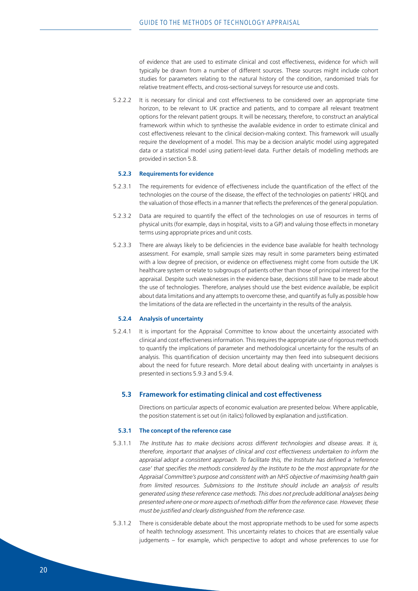of evidence that are used to estimate clinical and cost effectiveness, evidence for which will typically be drawn from a number of different sources. These sources might include cohort studies for parameters relating to the natural history of the condition, randomised trials for relative treatment effects, and cross-sectional surveys for resource use and costs.

5.2.2.2 It is necessary for clinical and cost effectiveness to be considered over an appropriate time horizon, to be relevant to UK practice and patients, and to compare all relevant treatment options for the relevant patient groups. It will be necessary, therefore, to construct an analytical framework within which to synthesise the available evidence in order to estimate clinical and cost effectiveness relevant to the clinical decision-making context. This framework will usually require the development of a model. This may be a decision analytic model using aggregated data or a statistical model using patient-level data. Further details of modelling methods are provided in section 5.8.

# **5.2.3 Requirements for evidence**

- 5.2.3.1 The requirements for evidence of effectiveness include the quantification of the effect of the technologies on the course of the disease, the effect of the technologies on patients' HRQL and the valuation of those effects in a manner that reflects the preferences of the general population.
- 5.2.3.2 Data are required to quantify the effect of the technologies on use of resources in terms of physical units (for example, days in hospital, visits to a GP) and valuing those effects in monetary terms using appropriate prices and unit costs.
- 5.2.3.3 There are always likely to be deficiencies in the evidence base available for health technology assessment. For example, small sample sizes may result in some parameters being estimated with a low degree of precision, or evidence on effectiveness might come from outside the UK healthcare system or relate to subgroups of patients other than those of principal interest for the appraisal. Despite such weaknesses in the evidence base, decisions still have to be made about the use of technologies. Therefore, analyses should use the best evidence available, be explicit about data limitations and any attempts to overcome these, and quantify as fully as possible how the limitations of the data are reflected in the uncertainty in the results of the analysis.

# **5.2.4 Analysis of uncertainty**

5.2.4.1 It is important for the Appraisal Committee to know about the uncertainty associated with clinical and cost effectiveness information. This requires the appropriate use of rigorous methods to quantify the implications of parameter and methodological uncertainty for the results of an analysis. This quantification of decision uncertainty may then feed into subsequent decisions about the need for future research. More detail about dealing with uncertainty in analyses is presented in sections 5.9.3 and 5.9.4.

# **5.3 Framework for estimating clinical and cost effectiveness**

Directions on particular aspects of economic evaluation are presented below. Where applicable, the position statement is set out (in italics) followed by explanation and justification.

## **5.3.1 The concept of the reference case**

- 5.3.1.1 *The Institute has to make decisions across different technologies and disease areas. It is, therefore, important that analyses of clinical and cost effectiveness undertaken to inform the appraisal adopt a consistent approach. To facilitate this, the Institute has defined a 'reference case' that specifies the methods considered by the Institute to be the most appropriate for the Appraisal Committee's purpose and consistent with an NHS objective of maximising health gain from limited resources. Submissions to the Institute should include an analysis of results generated using these reference case methods. This does not preclude additional analyses being presented where one or more aspects of methods differ from the reference case. However, these must be justified and clearly distinguished from the reference case.*
- 5.3.1.2 There is considerable debate about the most appropriate methods to be used for some aspects of health technology assessment. This uncertainty relates to choices that are essentially value judgements – for example, which perspective to adopt and whose preferences to use for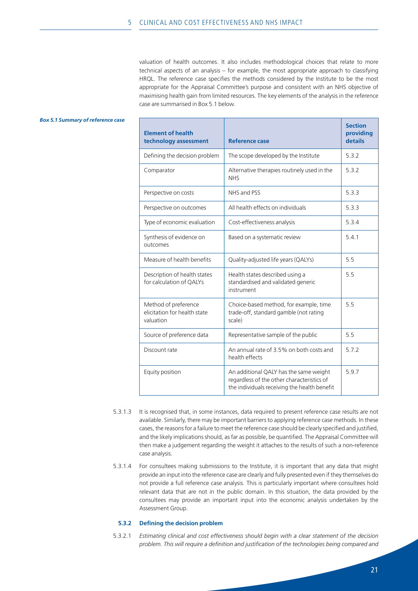valuation of health outcomes. It also includes methodological choices that relate to more technical aspects of an analysis – for example, the most appropriate approach to classifying HRQL. The reference case specifies the methods considered by the Institute to be the most appropriate for the Appraisal Committee's purpose and consistent with an NHS objective of maximising health gain from limited resources. The key elements of the analysis in the reference case are summarised in Box 5.1 below.

# *Box 5.1 Summary of reference case*

| <b>Element of health</b><br>technology assessment                 | <b>Reference case</b>                                                                                                                | <b>Section</b><br>providing<br>details |
|-------------------------------------------------------------------|--------------------------------------------------------------------------------------------------------------------------------------|----------------------------------------|
| Defining the decision problem                                     | The scope developed by the Institute                                                                                                 | 5.3.2                                  |
| Comparator                                                        | Alternative therapies routinely used in the<br><b>NHS</b>                                                                            | 5.3.2                                  |
| Perspective on costs                                              | NHS and PSS                                                                                                                          | 5.3.3                                  |
| Perspective on outcomes                                           | All health effects on individuals                                                                                                    | 5.3.3                                  |
| Type of economic evaluation                                       | Cost-effectiveness analysis                                                                                                          | 5.3.4                                  |
| Synthesis of evidence on<br>outcomes                              | Based on a systematic review                                                                                                         | 5.4.1                                  |
| Measure of health benefits                                        | Quality-adjusted life years (QALYs)                                                                                                  | 5.5                                    |
| Description of health states<br>for calculation of QALYs          | Health states described using a<br>standardised and validated generic<br>instrument                                                  | 5.5                                    |
| Method of preference<br>elicitation for health state<br>valuation | Choice-based method, for example, time<br>trade-off, standard gamble (not rating<br>scale)                                           | 5.5                                    |
| Source of preference data                                         | Representative sample of the public                                                                                                  | 5.5                                    |
| Discount rate                                                     | An annual rate of 3.5% on both costs and<br>health effects                                                                           | 5.7.2                                  |
| Equity position                                                   | An additional QALY has the same weight<br>regardless of the other characteristics of<br>the individuals receiving the health benefit | 5.9.7                                  |

- 5.3.1.3 It is recognised that, in some instances, data required to present reference case results are not available. Similarly, there may be important barriers to applying reference case methods. In these cases, the reasons for a failure to meet the reference case should be clearly specified and justified, and the likely implications should, as far as possible, be quantified. The Appraisal Committee will then make a judgement regarding the weight it attaches to the results of such a non-reference case analysis.
- 5.3.1.4 For consultees making submissions to the Institute, it is important that any data that might provide an input into the reference case are clearly and fully presented even if they themselves do not provide a full reference case analysis. This is particularly important where consultees hold relevant data that are not in the public domain. In this situation, the data provided by the consultees may provide an important input into the economic analysis undertaken by the Assessment Group.

# **5.3.2 Defining the decision problem**

5.3.2.1 *Estimating clinical and cost effectiveness should begin with a clear statement of the decision problem. This will require a definition and justification of the technologies being compared and*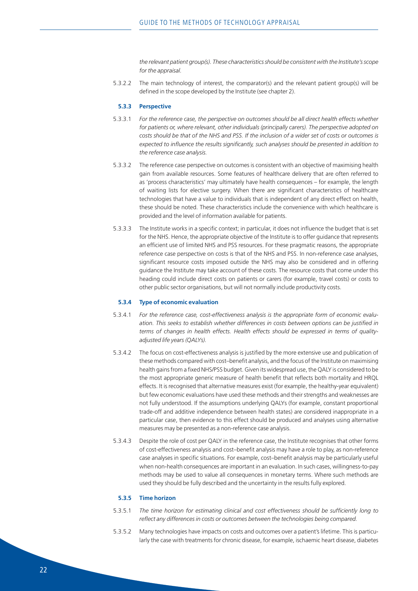*the relevant patient group(s). These characteristics should be consistent with the Institute's scope for the appraisal.*

5.3.2.2 The main technology of interest, the comparator(s) and the relevant patient group(s) will be defined in the scope developed by the Institute (see chapter 2).

# **5.3.3 Perspective**

- 5.3.3.1 *For the reference case, the perspective on outcomes should be all direct health effects whether for patients or, where relevant, other individuals (principally carers). The perspective adopted on costs should be that of the NHS and PSS. If the inclusion of a wider set of costs or outcomes is expected to influence the results significantly, such analyses should be presented in addition to the reference case analysis.*
- 5.3.3.2 The reference case perspective on outcomes is consistent with an objective of maximising health gain from available resources. Some features of healthcare delivery that are often referred to as 'process characteristics' may ultimately have health consequences – for example, the length of waiting lists for elective surgery. When there are significant characteristics of healthcare technologies that have a value to individuals that is independent of any direct effect on health, these should be noted. These characteristics include the convenience with which healthcare is provided and the level of information available for patients.
- 5.3.3.3 The Institute works in a specific context; in particular, it does not influence the budget that is set for the NHS. Hence, the appropriate objective of the Institute is to offer guidance that represents an efficient use of limited NHS and PSS resources. For these pragmatic reasons, the appropriate reference case perspective on costs is that of the NHS and PSS. In non-reference case analyses, significant resource costs imposed outside the NHS may also be considered and in offering guidance the Institute may take account of these costs. The resource costs that come under this heading could include direct costs on patients or carers (for example, travel costs) or costs to other public sector organisations, but will not normally include productivity costs.

## **5.3.4 Type of economic evaluation**

- 5.3.4.1 *For the reference case, cost-effectiveness analysis is the appropriate form of economic evaluation. This seeks to establish whether differences in costs between options can be justified in terms of changes in health effects. Health effects should be expressed in terms of qualityadjusted life years (QALYs).*
- 5.3.4.2 The focus on cost-effectiveness analysis is justified by the more extensive use and publication of these methods compared with cost–benefit analysis, and the focus of the Institute on maximising health gains from a fixed NHS/PSS budget. Given its widespread use, the QALY is considered to be the most appropriate generic measure of health benefit that reflects both mortality and HRQL effects. It is recognised that alternative measures exist (for example, the healthy-year equivalent) but few economic evaluations have used these methods and their strengths and weaknesses are not fully understood. If the assumptions underlying QALYs (for example, constant proportional trade-off and additive independence between health states) are considered inappropriate in a particular case, then evidence to this effect should be produced and analyses using alternative measures may be presented as a non-reference case analysis.
- 5.3.4.3 Despite the role of cost per QALY in the reference case, the Institute recognises that other forms of cost-effectiveness analysis and cost–benefit analysis may have a role to play, as non-reference case analyses in specific situations. For example, cost–benefit analysis may be particularly useful when non-health consequences are important in an evaluation. In such cases, willingness-to-pay methods may be used to value all consequences in monetary terms. Where such methods are used they should be fully described and the uncertainty in the results fully explored.

### **5.3.5 Time horizon**

- 5.3.5.1 *The time horizon for estimating clinical and cost effectiveness should be sufficiently long to reflect any differences in costs or outcomes between the technologies being compared.*
- 5.3.5.2 Many technologies have impacts on costs and outcomes over a patient's lifetime. This is particularly the case with treatments for chronic disease, for example, ischaemic heart disease, diabetes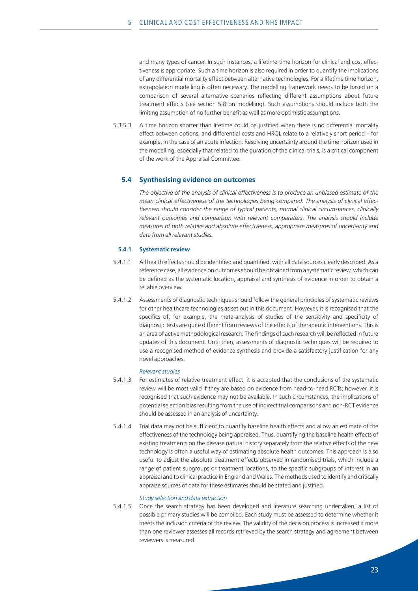and many types of cancer. In such instances, a lifetime time horizon for clinical and cost effectiveness is appropriate. Such a time horizon is also required in order to quantify the implications of any differential mortality effect between alternative technologies. For a lifetime time horizon, extrapolation modelling is often necessary. The modelling framework needs to be based on a comparison of several alternative scenarios reflecting different assumptions about future treatment effects (see section 5.8 on modelling). Such assumptions should include both the limiting assumption of no further benefit as well as more optimistic assumptions.

5.3.5.3 A time horizon shorter than lifetime could be justified when there is no differential mortality effect between options, and differential costs and HRQL relate to a relatively short period – for example, in the case of an acute infection. Resolving uncertainty around the time horizon used in the modelling, especially that related to the duration of the clinical trials, is a critical component of the work of the Appraisal Committee.

# **5.4 Synthesising evidence on outcomes**

*The objective of the analysis of clinical effectiveness is to produce an unbiased estimate of the mean clinical effectiveness of the technologies being compared. The analysis of clinical effectiveness should consider the range of typical patients, normal clinical circumstances, clinically relevant outcomes and comparison with relevant comparators. The analysis should include measures of both relative and absolute effectiveness, appropriate measures of uncertainty and data from all relevant studies.* 

# **5.4.1 Systematic review**

- 5.4.1.1 All health effects should be identified and quantified, with all data sources clearly described. As a reference case, all evidence on outcomes should be obtained from a systematic review, which can be defined as the systematic location, appraisal and synthesis of evidence in order to obtain a reliable overview.
- 5.4.1.2 Assessments of diagnostic techniques should follow the general principles of systematic reviews for other healthcare technologies as set out in this document. However, it is recognised that the specifics of, for example, the meta-analysis of studies of the sensitivity and specificity of diagnostic tests are quite different from reviews of the effects of therapeutic interventions. This is an area of active methodological research. The findings of such research will be reflected in future updates of this document. Until then, assessments of diagnostic techniques will be required to use a recognised method of evidence synthesis and provide a satisfactory justification for any novel approaches.

#### *Relevant studies*

- 5.4.1.3 For estimates of relative treatment effect, it is accepted that the conclusions of the systematic review will be most valid if they are based on evidence from head-to-head RCTs; however, it is recognised that such evidence may not be available. In such circumstances, the implications of potential selection bias resulting from the use of indirect trial comparisons and non-RCT evidence should be assessed in an analysis of uncertainty.
- 5.4.1.4 Trial data may not be sufficient to quantify baseline health effects and allow an estimate of the effectiveness of the technology being appraised. Thus, quantifying the baseline health effects of existing treatments on the disease natural history separately from the relative effects of the new technology is often a useful way of estimating absolute health outcomes. This approach is also useful to adjust the absolute treatment effects observed in randomised trials, which include a range of patient subgroups or treatment locations, to the specific subgroups of interest in an appraisal and to clinical practice in England and Wales. The methods used to identify and critically appraise sources of data for these estimates should be stated and justified.

#### *Study selection and data extraction*

5.4.1.5 Once the search strategy has been developed and literature searching undertaken, a list of possible primary studies will be compiled. Each study must be assessed to determine whether it meets the inclusion criteria of the review. The validity of the decision process is increased if more than one reviewer assesses all records retrieved by the search strategy and agreement between reviewers is measured.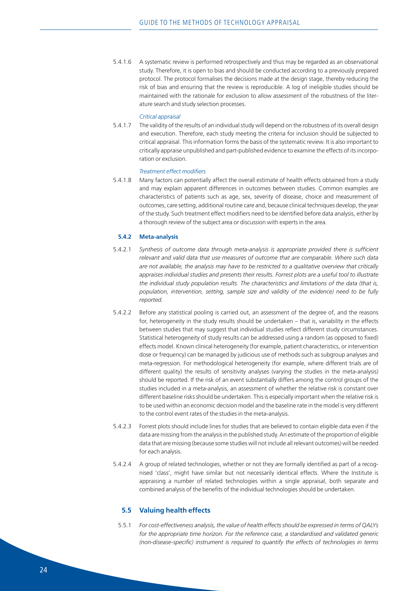5.4.1.6 A systematic review is performed retrospectively and thus may be regarded as an observational study. Therefore, it is open to bias and should be conducted according to a previously prepared protocol. The protocol formalises the decisions made at the design stage, thereby reducing the risk of bias and ensuring that the review is reproducible. A log of ineligible studies should be maintained with the rationale for exclusion to allow assessment of the robustness of the literature search and study selection processes.

#### *Critical appraisal*

5.4.1.7 The validity of the results of an individual study will depend on the robustness of its overall design and execution. Therefore, each study meeting the criteria for inclusion should be subjected to critical appraisal. This information forms the basis of the systematic review. It is also important to critically appraise unpublished and part-published evidence to examine the effects of its incorporation or exclusion.

## *Treatment effect modifiers*

5.4.1.8 Many factors can potentially affect the overall estimate of health effects obtained from a study and may explain apparent differences in outcomes between studies. Common examples are characteristics of patients such as age, sex, severity of disease, choice and measurement of outcomes, care setting, additional routine care and, because clinical techniques develop, the year of the study. Such treatment effect modifiers need to be identified before data analysis, either by a thorough review of the subject area or discussion with experts in the area.

# **5.4.2 Meta-analysis**

- 5.4.2.1 *Synthesis of outcome data through meta-analysis is appropriate provided there is sufficient relevant and valid data that use measures of outcome that are comparable. Where such data are not available, the analysis may have to be restricted to a qualitative overview that critically appraises individual studies and presents their results. Forrest plots are a useful tool to illustrate the individual study population results. The characteristics and limitations of the data (that is, population, intervention, setting, sample size and validity of the evidence) need to be fully reported.*
- 5.4.2.2 Before any statistical pooling is carried out, an assessment of the degree of, and the reasons for, heterogeneity in the study results should be undertaken – that is, variability in the effects between studies that may suggest that individual studies reflect different study circumstances. Statistical heterogeneity of study results can be addressed using a random (as opposed to fixed) effects model. Known clinical heterogeneity (for example, patient characteristics, or intervention dose or frequency) can be managed by judicious use of methods such as subgroup analyses and meta-regression. For methodological heterogeneity (for example, where different trials are of different quality) the results of sensitivity analyses (varying the studies in the meta-analysis) should be reported. If the risk of an event substantially differs among the control groups of the studies included in a meta-analysis, an assessment of whether the relative risk is constant over different baseline risks should be undertaken. This is especially important when the relative risk is to be used within an economic decision model and the baseline rate in the model is very different to the control event rates of the studies in the meta-analysis.
- 5.4.2.3 Forrest plots should include lines for studies that are believed to contain eligible data even if the data are missing from the analysis in the published study. An estimate of the proportion of eligible data that are missing (because some studies will not include all relevant outcomes) will be needed for each analysis.
- 5.4.2.4 A group of related technologies, whether or not they are formally identified as part of a recognised 'class', might have similar but not necessarily identical effects. Where the Institute is appraising a number of related technologies within a single appraisal, both separate and combined analysis of the benefits of the individual technologies should be undertaken.

# **5.5 Valuing health effects**

5.5.1 *For cost-effectiveness analysis, the value of health effects should be expressed in terms of QALYs for the appropriate time horizon. For the reference case, a standardised and validated generic (non-disease-specific) instrument is required to quantify the effects of technologies in terms*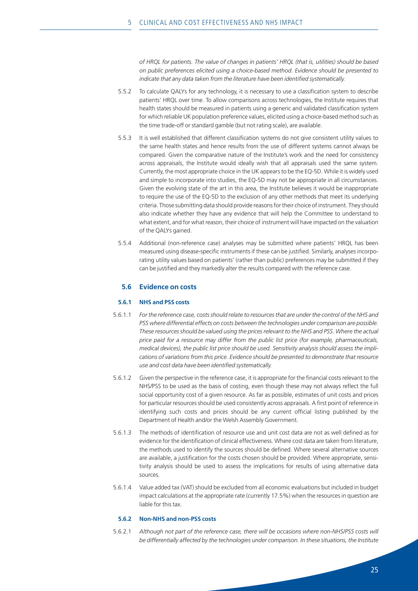*of HRQL for patients. The value of changes in patients' HRQL (that is, utilities) should be based on public preferences elicited using a choice-based method. Evidence should be presented to indicate that any data taken from the literature have been identified systematically.*

- 5.5.2 To calculate QALYs for any technology, it is necessary to use a classification system to describe patients' HRQL over time. To allow comparisons across technologies, the Institute requires that health states should be measured in patients using a generic and validated classification system for which reliable UK population preference values, elicited using a choice-based method such as the time trade-off or standard gamble (but not rating scale), are available.
- 5.5.3 It is well established that different classification systems do not give consistent utility values to the same health states and hence results from the use of different systems cannot always be compared. Given the comparative nature of the Institute's work and the need for consistency across appraisals, the Institute would ideally wish that all appraisals used the same system. Currently, the most appropriate choice in the UK appears to be the EQ-5D. While it is widely used and simple to incorporate into studies, the EQ-5D may not be appropriate in all circumstances. Given the evolving state of the art in this area, the Institute believes it would be inappropriate to require the use of the EQ-5D to the exclusion of any other methods that meet its underlying criteria. Those submitting data should provide reasons for their choice of instrument. They should also indicate whether they have any evidence that will help the Committee to understand to what extent, and for what reason, their choice of instrument will have impacted on the valuation of the QALYs gained.
- 5.5.4 Additional (non-reference case) analyses may be submitted where patients' HRQL has been measured using disease-specific instruments if these can be justified. Similarly, analyses incorporating utility values based on patients' (rather than public) preferences may be submitted if they can be justified and they markedly alter the results compared with the reference case.

# **5.6 Evidence on costs**

## **5.6.1 NHS and PSS costs**

- 5.6.1.1 *For the reference case, costs should relate to resources that are under the control of the NHS and PSS where differential effects on costs between the technologies under comparison are possible. These resources should be valued using the prices relevant to the NHS and PSS. Where the actual price paid for a resource may differ from the public list price (for example, pharmaceuticals, medical devices), the public list price should be used. Sensitivity analysis should assess the implications of variations from this price. Evidence should be presented to demonstrate that resource use and cost data have been identified systematically.*
- 5.6.1.2 Given the perspective in the reference case, it is appropriate for the financial costs relevant to the NHS/PSS to be used as the basis of costing, even though these may not always reflect the full social opportunity cost of a given resource. As far as possible, estimates of unit costs and prices for particular resources should be used consistently across appraisals. A first point of reference in identifying such costs and prices should be any current official listing published by the Department of Health and/or the Welsh Assembly Government.
- 5.6.1.3 The methods of identification of resource use and unit cost data are not as well defined as for evidence for the identification of clinical effectiveness. Where cost data are taken from literature, the methods used to identify the sources should be defined. Where several alternative sources are available, a justification for the costs chosen should be provided. Where appropriate, sensitivity analysis should be used to assess the implications for results of using alternative data sources.
- 5.6.1.4 Value added tax (VAT) should be excluded from all economic evaluations but included in budget impact calculations at the appropriate rate (currently 17.5%) when the resources in question are liable for this tax.

# **5.6.2 Non-NHS and non-PSS costs**

5.6.2.1 *Although not part of the reference case, there will be occasions where non-NHS/PSS costs will be differentially affected by the technologies under comparison. In these situations, the Institute*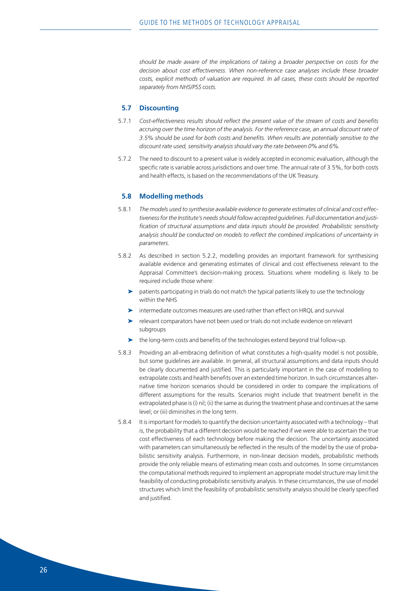*should be made aware of the implications of taking a broader perspective on costs for the decision about cost effectiveness. When non-reference case analyses include these broader costs, explicit methods of valuation are required. In all cases, these costs should be reported separately from NHS/PSS costs.*

# **5.7 Discounting**

- 5.7.1 *Cost-effectiveness results should reflect the present value of the stream of costs and benefits accruing over the time horizon of the analysis. For the reference case, an annual discount rate of 3.5% should be used for both costs and benefits. When results are potentially sensitive to the discount rate used, sensitivity analysis should vary the rate between 0% and 6%.*
- 5.7.2 The need to discount to a present value is widely accepted in economic evaluation, although the specific rate is variable across jurisdictions and over time. The annual rate of 3.5%, for both costs and health effects, is based on the recommendations of the UK Treasury.

# **5.8 Modelling methods**

- 5.8.1 *The models used to synthesise available evidence to generate estimates of clinical and cost effectiveness for the Institute's needs should follow accepted guidelines. Full documentation and justification of structural assumptions and data inputs should be provided. Probabilistic sensitivity analysis should be conducted on models to reflect the combined implications of uncertainty in parameters.*
- 5.8.2 As described in section 5.2.2, modelling provides an important framework for synthesising available evidence and generating estimates of clinical and cost effectiveness relevant to the Appraisal Committee's decision-making process. Situations where modelling is likely to be required include those where:
	- ➤ patients participating in trials do not match the typical patients likely to use the technology within the NHS
	- ➤ intermediate outcomes measures are used rather than effect on HRQL and survival
	- ➤ relevant comparators have not been used or trials do not include evidence on relevant subgroups
	- ➤ the long-term costs and benefits of the technologies extend beyond trial follow-up.
- 5.8.3 Providing an all-embracing definition of what constitutes a high-quality model is not possible, but some guidelines are available. In general, all structural assumptions and data inputs should be clearly documented and justified. This is particularly important in the case of modelling to extrapolate costs and health benefits over an extended time horizon. In such circumstances alternative time horizon scenarios should be considered in order to compare the implications of different assumptions for the results. Scenarios might include that treatment benefit in the extrapolated phase is (i) nil; (ii) the same as during the treatment phase and continues at the same level; or (iii) diminishes in the long term.
- 5.8.4 It is important for models to quantify the decision uncertainty associated with a technology that is, the probability that a different decision would be reached if we were able to ascertain the true cost effectiveness of each technology before making the decision. The uncertainty associated with parameters can simultaneously be reflected in the results of the model by the use of probabilistic sensitivity analysis. Furthermore, in non-linear decision models, probabilistic methods provide the only reliable means of estimating mean costs and outcomes. In some circumstances the computational methods required to implement an appropriate model structure may limit the feasibility of conducting probabilistic sensitivity analysis. In these circumstances, the use of model structures which limit the feasibility of probabilistic sensitivity analysis should be clearly specified and justified.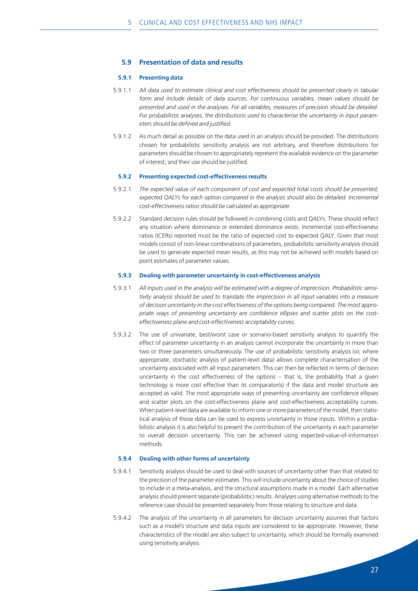# **5.9 Presentation of data and results**

## **5.9.1 Presenting data**

- 5.9.1.1 *All data used to estimate clinical and cost effectiveness should be presented clearly in tabular form and include details of data sources. For continuous variables, mean values should be presented and used in the analyses. For all variables, measures of precision should be detailed. For probabilistic analyses, the distributions used to characterise the uncertainty in input parameters should be defined and justified.*
- 5.9.1.2 As much detail as possible on the data used in an analysis should be provided. The distributions chosen for probabilistic sensitivity analysis are not arbitrary, and therefore distributions for parameters should be chosen to appropriately represent the available evidence on the parameter of interest, and their use should be justified.

# **5.9.2 Presenting expected cost-effectiveness results**

- 5.9.2.1 *The expected value of each component of cost and expected total costs should be presented; expected QALYs for each option compared in the analysis should also be detailed. Incremental cost-effectiveness ratios should be calculated as appropriate.*
- 5.9.2.2 Standard decision rules should be followed in combining costs and QALYs. These should reflect any situation where dominance or extended dominance exists. Incremental cost-effectiveness ratios (ICERs) reported must be the ratio of expected cost to expected QALY. Given that most models consist of non-linear combinations of parameters, probabilistic sensitivity analysis should be used to generate expected mean results, as this may not be achieved with models based on point estimates of parameter values.

## **5.9.3 Dealing with parameter uncertainty in cost-effectiveness analysis**

- 5.9.3.1 *All inputs used in the analysis will be estimated with a degree of imprecision. Probabilistic sensitivity analysis should be used to translate the imprecision in all input variables into a measure of decision uncertainty in the cost effectiveness of the options being compared. The most appropriate ways of presenting uncertainty are confidence ellipses and scatter plots on the costeffectiveness plane and cost-effectiveness acceptability curves.*
- 5.9.3.2 The use of univariate, best/worst case or scenario-based sensitivity analysis to quantify the effect of parameter uncertainty in an analysis cannot incorporate the uncertainty in more than two or three parameters simultaneously. The use of probabilistic sensitivity analysis (or, where appropriate, stochastic analysis of patient-level data) allows complete characterisation of the uncertainty associated with all input parameters. This can then be reflected in terms of decision uncertainty in the cost effectiveness of the options – that is, the probability that a given technology is more cost effective than its comparator(s) if the data and model structure are accepted as valid. The most appropriate ways of presenting uncertainty are confidence ellipses and scatter plots on the cost-effectiveness plane and cost-effectiveness acceptability curves. When patient-level data are available to inform one or more parameters of the model, then statistical analysis of those data can be used to express uncertainty in those inputs. Within a probabilistic analysis it is also helpful to present the contribution of the uncertainty in each parameter to overall decision uncertainty. This can be achieved using expected-value-of-information methods.

# **5.9.4 Dealing with other forms of uncertainty**

- 5.9.4.1 Sensitivity analysis should be used to deal with sources of uncertainty other than that related to the precision of the parameter estimates. This will include uncertainty about the choice of studies to include in a meta-analysis, and the structural assumptions made in a model. Each alternative analysis should present separate (probabilistic) results. Analyses using alternative methods to the reference case should be presented separately from those relating to structure and data.
- 5.9.4.2 The analysis of the uncertainty in all parameters for decision uncertainty assumes that factors such as a model's structure and data inputs are considered to be appropriate. However, these characteristics of the model are also subject to uncertainty, which should be formally examined using sensitivity analysis.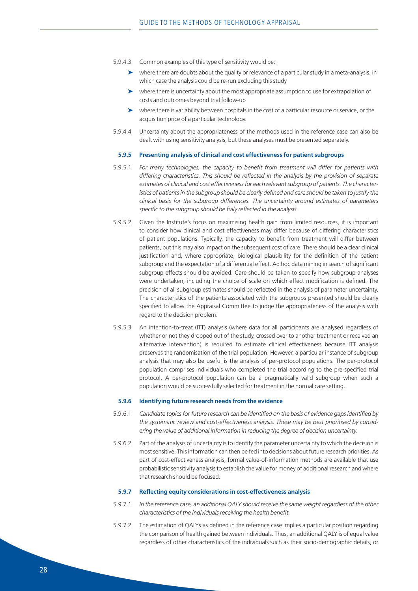- 5.9.4.3 Common examples of this type of sensitivity would be:
	- ➤ where there are doubts about the quality or relevance of a particular study in a meta-analysis, in which case the analysis could be re-run excluding this study
	- ➤ where there is uncertainty about the most appropriate assumption to use for extrapolation of costs and outcomes beyond trial follow-up
	- ➤ where there is variability between hospitals in the cost of a particular resource or service, or the acquisition price of a particular technology.
- 5.9.4.4 Uncertainty about the appropriateness of the methods used in the reference case can also be dealt with using sensitivity analysis, but these analyses must be presented separately.

#### **5.9.5 Presenting analysis of clinical and cost effectiveness for patient subgroups**

- 5.9.5.1 *For many technologies, the capacity to benefit from treatment will differ for patients with differing characteristics. This should be reflected in the analysis by the provision of separate estimates of clinical and cost effectiveness for each relevant subgroup of patients. The characteristics of patients in the subgroup should be clearly defined and care should be taken to justify the clinical basis for the subgroup differences. The uncertainty around estimates of parameters specific to the subgroup should be fully reflected in the analysis.*
- 5.9.5.2 Given the Institute's focus on maximising health gain from limited resources, it is important to consider how clinical and cost effectiveness may differ because of differing characteristics of patient populations. Typically, the capacity to benefit from treatment will differ between patients, but this may also impact on the subsequent cost of care. There should be a clear clinical justification and, where appropriate, biological plausibility for the definition of the patient subgroup and the expectation of a differential effect. Ad hoc data mining in search of significant subgroup effects should be avoided. Care should be taken to specify how subgroup analyses were undertaken, including the choice of scale on which effect modification is defined. The precision of all subgroup estimates should be reflected in the analysis of parameter uncertainty. The characteristics of the patients associated with the subgroups presented should be clearly specified to allow the Appraisal Committee to judge the appropriateness of the analysis with regard to the decision problem.
- 5.9.5.3 An intention-to-treat (ITT) analysis (where data for all participants are analysed regardless of whether or not they dropped out of the study, crossed over to another treatment or received an alternative intervention) is required to estimate clinical effectiveness because ITT analysis preserves the randomisation of the trial population. However, a particular instance of subgroup analysis that may also be useful is the analysis of per-protocol populations. The per-protocol population comprises individuals who completed the trial according to the pre-specified trial protocol. A per-protocol population can be a pragmatically valid subgroup when such a population would be successfully selected for treatment in the normal care setting.

#### **5.9.6 Identifying future research needs from the evidence**

- 5.9.6.1 *Candidate topics for future research can be identified on the basis of evidence gaps identified by the systematic review and cost-effectiveness analysis. These may be best prioritised by considering the value of additional information in reducing the degree of decision uncertainty.*
- 5.9.6.2 Part of the analysis of uncertainty is to identify the parameter uncertainty to which the decision is most sensitive. This information can then be fed into decisions about future research priorities. As part of cost-effectiveness analysis, formal value-of-information methods are available that use probabilistic sensitivity analysis to establish the value for money of additional research and where that research should be focused.

#### **5.9.7 Reflecting equity considerations in cost-effectiveness analysis**

- 5.9.7.1 *In the reference case, an additional QALY should receive the same weight regardless of the other characteristics of the individuals receiving the health benefit.*
- 5.9.7.2 The estimation of QALYs as defined in the reference case implies a particular position regarding the comparison of health gained between individuals. Thus, an additional QALY is of equal value regardless of other characteristics of the individuals such as their socio-demographic details, or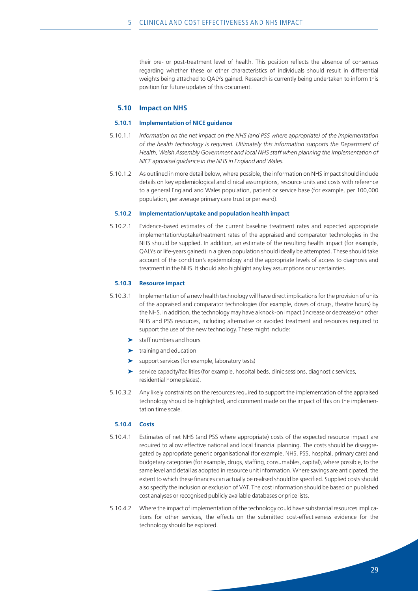their pre- or post-treatment level of health. This position reflects the absence of consensus regarding whether these or other characteristics of individuals should result in differential weights being attached to QALYs gained. Research is currently being undertaken to inform this position for future updates of this document.

# **5.10 Impact on NHS**

# **5.10.1 Implementation of NICE guidance**

- 5.10.1.1 *Information on the net impact on the NHS (and PSS where appropriate) of the implementation of the health technology is required. Ultimately this information supports the Department of Health, Welsh Assembly Government and local NHS staff when planning the implementation of NICE appraisal guidance in the NHS in England and Wales.*
- 5.10.1.2 As outlined in more detail below, where possible, the information on NHS impact should include details on key epidemiological and clinical assumptions, resource units and costs with reference to a general England and Wales population, patient or service base (for example, per 100,000 population, per average primary care trust or per ward).

## **5.10.2 Implementation/uptake and population health impact**

5.10.2.1 Evidence-based estimates of the current baseline treatment rates and expected appropriate implementation/uptake/treatment rates of the appraised and comparator technologies in the NHS should be supplied. In addition, an estimate of the resulting health impact (for example, QALYs or life-years gained) in a given population should ideally be attempted. These should take account of the condition's epidemiology and the appropriate levels of access to diagnosis and treatment in the NHS. It should also highlight any key assumptions or uncertainties.

# **5.10.3 Resource impact**

- 5.10.3.1 Implementation of a new health technology will have direct implications for the provision of units of the appraised and comparator technologies (for example, doses of drugs, theatre hours) by the NHS. In addition, the technology may have a knock-on impact (increase or decrease) on other NHS and PSS resources, including alternative or avoided treatment and resources required to support the use of the new technology. These might include:
	- ➤ staff numbers and hours
	- $\blacktriangleright$  training and education
	- ➤ support services (for example, laboratory tests)
	- ➤ service capacity/facilities (for example, hospital beds, clinic sessions, diagnostic services, residential home places).
- 5.10.3.2 Any likely constraints on the resources required to support the implementation of the appraised technology should be highlighted, and comment made on the impact of this on the implementation time scale.

## **5.10.4 Costs**

- 5.10.4.1 Estimates of net NHS (and PSS where appropriate) costs of the expected resource impact are required to allow effective national and local financial planning. The costs should be disaggregated by appropriate generic organisational (for example, NHS, PSS, hospital, primary care) and budgetary categories (for example, drugs, staffing, consumables, capital), where possible, to the same level and detail as adopted in resource unit information. Where savings are anticipated, the extent to which these finances can actually be realised should be specified. Supplied costs should also specify the inclusion or exclusion of VAT. The cost information should be based on published cost analyses or recognised publicly available databases or price lists.
- 5.10.4.2 Where the impact of implementation of the technology could have substantial resources implications for other services, the effects on the submitted cost-effectiveness evidence for the technology should be explored.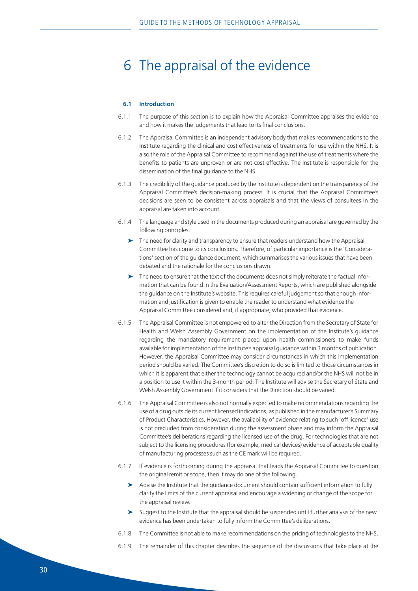# 6 The appraisal of the evidence

# **6.1 Introduction**

- 6.1.1 The purpose of this section is to explain how the Appraisal Committee appraises the evidence and how it makes the judgements that lead to its final conclusions.
- 6.1.2 The Appraisal Committee is an independent advisory body that makes recommendations to the Institute regarding the clinical and cost effectiveness of treatments for use within the NHS. It is also the role of the Appraisal Committee to recommend against the use of treatments where the benefits to patients are unproven or are not cost effective. The Institute is responsible for the dissemination of the final guidance to the NHS.
- 6.1.3 The credibility of the guidance produced by the Institute is dependent on the transparency of the Appraisal Committee's decision-making process. It is crucial that the Appraisal Committee's decisions are seen to be consistent across appraisals and that the views of consultees in the appraisal are taken into account.
- 6.1.4 The language and style used in the documents produced during an appraisal are governed by the following principles.
	- ➤ The need for clarity and transparency to ensure that readers understand how the Appraisal Committee has come to its conclusions. Therefore, of particular importance is the 'Considerations' section of the guidance document, which summarises the various issues that have been debated and the rationale for the conclusions drawn.
	- ➤ The need to ensure that the text of the documents does not simply reiterate the factual information that can be found in the Evaluation/Assessment Reports, which are published alongside the guidance on the Institute's website. This requires careful judgement so that enough information and justification is given to enable the reader to understand what evidence the Appraisal Committee considered and, if appropriate, who provided that evidence.
- 6.1.5 The Appraisal Committee is not empowered to alter the Direction from the Secretary of State for Health and Welsh Assembly Government on the implementation of the Institute's guidance regarding the mandatory requirement placed upon health commissioners to make funds available for implementation of the Institute's appraisal guidance within 3 months of publication. However, the Appraisal Committee may consider circumstances in which this implementation period should be varied. The Committee's discretion to do so is limited to those circumstances in which it is apparent that either the technology cannot be acquired and/or the NHS will not be in a position to use it within the 3-month period. The Institute will advise the Secretary of State and Welsh Assembly Government if it considers that the Direction should be varied.
- 6.1.6 The Appraisal Committee is also not normally expected to make recommendations regarding the use of a drug outside its current licensed indications, as published in the manufacturer's Summary of Product Characteristics. However, the availability of evidence relating to such 'off licence' use is not precluded from consideration during the assessment phase and may inform the Appraisal Committee's deliberations regarding the licensed use of the drug. For technologies that are not subject to the licensing procedures (for example, medical devices) evidence of acceptable quality of manufacturing processes such as the CE mark will be required.
- 6.1.7 If evidence is forthcoming during the appraisal that leads the Appraisal Committee to question the original remit or scope, then it may do one of the following.
	- ➤ Advise the Institute that the guidance document should contain sufficient information to fully clarify the limits of the current appraisal and encourage a widening or change of the scope for the appraisal review.
	- ➤ Suggest to the Institute that the appraisal should be suspended until further analysis of the new evidence has been undertaken to fully inform the Committee's deliberations.
- 6.1.8 The Committee is not able to make recommendations on the pricing of technologies to the NHS.
- 6.1.9 The remainder of this chapter describes the sequence of the discussions that take place at the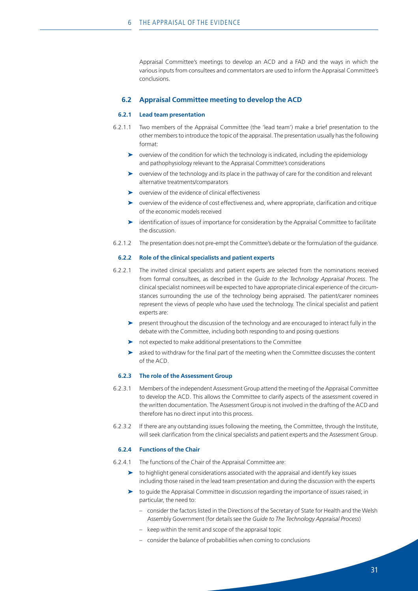Appraisal Committee's meetings to develop an ACD and a FAD and the ways in which the various inputs from consultees and commentators are used to inform the Appraisal Committee's conclusions.

# **6.2 Appraisal Committee meeting to develop the ACD**

# **6.2.1 Lead team presentation**

- 6.2.1.1 Two members of the Appraisal Committee (the 'lead team') make a brief presentation to the other members to introduce the topic of the appraisal. The presentation usually has the following format:
	- ➤ overview of the condition for which the technology is indicated, including the epidemiology and pathophysiology relevant to the Appraisal Committee's considerations
	- ➤ overview of the technology and its place in the pathway of care for the condition and relevant alternative treatments/comparators
	- ➤ overview of the evidence of clinical effectiveness
	- ➤ overview of the evidence of cost effectiveness and, where appropriate, clarification and critique of the economic models received
	- ➤ identification of issues of importance for consideration by the Appraisal Committee to facilitate the discussion.
- 6.2.1.2 The presentation does not pre-empt the Committee's debate or the formulation of the guidance.

# **6.2.2 Role of the clinical specialists and patient experts**

- 6.2.2.1 The invited clinical specialists and patient experts are selected from the nominations received from formal consultees, as described in the *Guide to the Technology Appraisal Process*. The clinical specialist nominees will be expected to have appropriate clinical experience of the circumstances surrounding the use of the technology being appraised. The patient/carer nominees represent the views of people who have used the technology. The clinical specialist and patient experts are:
	- ➤ present throughout the discussion of the technology and are encouraged to interact fully in the debate with the Committee, including both responding to and posing questions
	- ➤ not expected to make additional presentations to the Committee
	- ➤ asked to withdraw for the final part of the meeting when the Committee discusses the content of the ACD.

# **6.2.3 The role of the Assessment Group**

- 6.2.3.1 Members of the independent Assessment Group attend the meeting of the Appraisal Committee to develop the ACD. This allows the Committee to clarify aspects of the assessment covered in the written documentation. The Assessment Group is not involved in the drafting of the ACD and therefore has no direct input into this process.
- 6.2.3.2 If there are any outstanding issues following the meeting, the Committee, through the Institute, will seek clarification from the clinical specialists and patient experts and the Assessment Group.

# **6.2.4 Functions of the Chair**

- 6.2.4.1 The functions of the Chair of the Appraisal Committee are:
	- ➤ to highlight general considerations associated with the appraisal and identify key issues including those raised in the lead team presentation and during the discussion with the experts
	- ➤ to guide the Appraisal Committee in discussion regarding the importance of issues raised; in particular, the need to:
		- consider the factors listed in the Directions of the Secretary of State for Health and the Welsh Assembly Government (for details see the *Guide to The Technology Appraisal Process*)
		- keep within the remit and scope of the appraisal topic
		- consider the balance of probabilities when coming to conclusions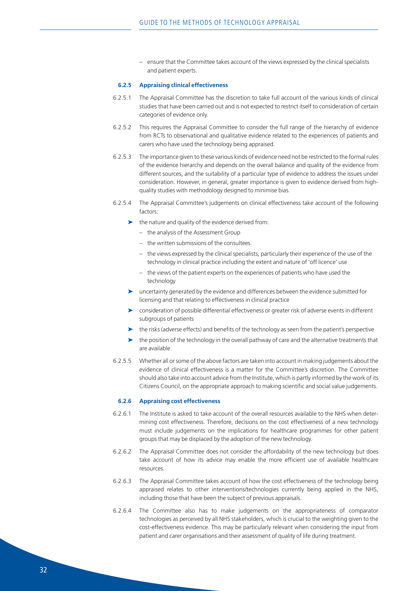– ensure that the Committee takes account of the views expressed by the clinical specialists and patient experts.

## **6.2.5 Appraising clinical effectiveness**

- 6.2.5.1 The Appraisal Committee has the discretion to take full account of the various kinds of clinical studies that have been carried out and is not expected to restrict itself to consideration of certain categories of evidence only.
- 6.2.5.2 This requires the Appraisal Committee to consider the full range of the hierarchy of evidence from RCTs to observational and qualitative evidence related to the experiences of patients and carers who have used the technology being appraised.
- 6.2.5.3 The importance given to these various kinds of evidence need not be restricted to the formal rules of the evidence hierarchy and depends on the overall balance and quality of the evidence from different sources, and the suitability of a particular type of evidence to address the issues under consideration. However, in general, greater importance is given to evidence derived from highquality studies with methodology designed to minimise bias.
- 6.2.5.4 The Appraisal Committee's judgements on clinical effectiveness take account of the following factors:
	- ➤ the nature and quality of the evidence derived from:
		- the analysis of the Assessment Group
		- the written submissions of the consultees
		- the views expressed by the clinical specialists, particularly their experience of the use of the technology in clinical practice including the extent and nature of 'off licence' use
		- the views of the patient experts on the experiences of patients who have used the technology
	- uncertainty generated by the evidence and differences between the evidence submitted for licensing and that relating to effectiveness in clinical practice
	- ➤ consideration of possible differential effectiveness or greater risk of adverse events in different subgroups of patients
	- ➤ the risks (adverse effects) and benefits of the technology as seen from the patient's perspective
	- ➤ the position of the technology in the overall pathway of care and the alternative treatments that are available.
- 6.2.5.5 Whether all or some of the above factors are taken into account in making judgements about the evidence of clinical effectiveness is a matter for the Committee's discretion. The Committee should also take into account advice from the Institute, which is partly informed by the work of its Citizens Council, on the appropriate approach to making scientific and social value judgements.

#### **6.2.6 Appraising cost effectiveness**

- 6.2.6.1 The Institute is asked to take account of the overall resources available to the NHS when determining cost effectiveness. Therefore, decisions on the cost effectiveness of a new technology must include judgements on the implications for healthcare programmes for other patient groups that may be displaced by the adoption of the new technology.
- 6.2.6.2 The Appraisal Committee does not consider the affordability of the new technology but does take account of how its advice may enable the more efficient use of available healthcare resources.
- 6.2.6.3 The Appraisal Committee takes account of how the cost effectiveness of the technology being appraised relates to other interventions/technologies currently being applied in the NHS, including those that have been the subject of previous appraisals.
- 6.2.6.4 The Committee also has to make judgements on the appropriateness of comparator technologies as perceived by all NHS stakeholders, which is crucial to the weighting given to the cost-effectiveness evidence. This may be particularly relevant when considering the input from patient and carer organisations and their assessment of quality of life during treatment.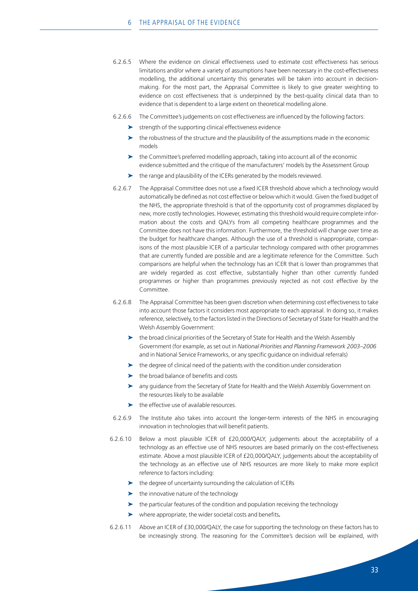- 6.2.6.5 Where the evidence on clinical effectiveness used to estimate cost effectiveness has serious limitations and/or where a variety of assumptions have been necessary in the cost-effectiveness modelling, the additional uncertainty this generates will be taken into account in decisionmaking. For the most part, the Appraisal Committee is likely to give greater weighting to evidence on cost effectiveness that is underpinned by the best-quality clinical data than to evidence that is dependent to a large extent on theoretical modelling alone.
- 6.2.6.6 The Committee's judgements on cost effectiveness are influenced by the following factors:
	- ➤ strength of the supporting clinical effectiveness evidence
	- ➤ the robustness of the structure and the plausibility of the assumptions made in the economic models
	- ➤ the Committee's preferred modelling approach, taking into account all of the economic evidence submitted and the critique of the manufacturers' models by the Assessment Group
	- ➤ the range and plausibility of the ICERs generated by the models reviewed.
- 6.2.6.7 The Appraisal Committee does not use a fixed ICER threshold above which a technology would automatically be defined as not cost effective or below which it would. Given the fixed budget of the NHS, the appropriate threshold is that of the opportunity cost of programmes displaced by new, more costly technologies. However, estimating this threshold would require complete information about the costs and QALYs from all competing healthcare programmes and the Committee does not have this information. Furthermore, the threshold will change over time as the budget for healthcare changes. Although the use of a threshold is inappropriate, comparisons of the most plausible ICER of a particular technology compared with other programmes that are currently funded are possible and are a legitimate reference for the Committee. Such comparisons are helpful when the technology has an ICER that is lower than programmes that are widely regarded as cost effective, substantially higher than other currently funded programmes or higher than programmes previously rejected as not cost effective by the Committee.
- 6.2.6.8 The Appraisal Committee has been given discretion when determining cost effectiveness to take into account those factors it considers most appropriate to each appraisal. In doing so, it makes reference, selectively, to the factors listed in the Directions of Secretary of State for Health and the Welsh Assembly Government:
	- ➤ the broad clinical priorities of the Secretary of State for Health and the Welsh Assembly Government (for example, as set out in *National Priorities and Planning Framework 2003–2006* and in National Service Frameworks, or any specific guidance on individual referrals)
	- ➤ the degree of clinical need of the patients with the condition under consideration
	- ➤ the broad balance of benefits and costs
	- ➤ any guidance from the Secretary of State for Health and the Welsh Assembly Government on the resources likely to be available
	- ➤ the effective use of available resources.
- 6.2.6.9 The Institute also takes into account the longer-term interests of the NHS in encouraging innovation in technologies that will benefit patients.
- 6.2.6.10 Below a most plausible ICER of £20,000/QALY, judgements about the acceptability of a technology as an effective use of NHS resources are based primarily on the cost-effectiveness estimate. Above a most plausible ICER of £20,000/QALY, judgements about the acceptability of the technology as an effective use of NHS resources are more likely to make more explicit reference to factors including:
	- ➤ the degree of uncertainty surrounding the calculation of ICERs
	- ➤ the innovative nature of the technology
	- $\blacktriangleright$  the particular features of the condition and population receiving the technology
	- ➤ where appropriate, the wider societal costs and benefits*.*
- 6.2.6.11 Above an ICER of £30,000/QALY, the case for supporting the technology on these factors has to be increasingly strong. The reasoning for the Committee's decision will be explained, with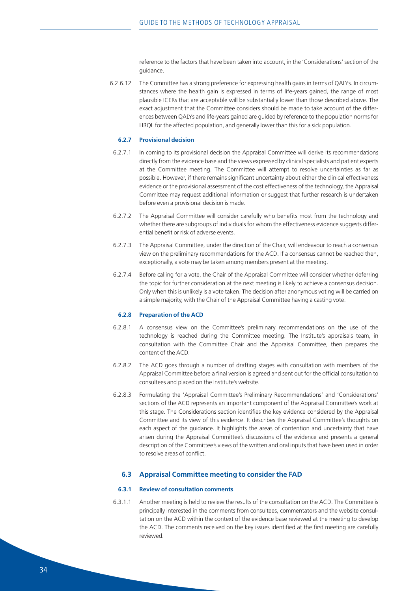reference to the factors that have been taken into account, in the 'Considerations' section of the guidance.

6.2.6.12 The Committee has a strong preference for expressing health gains in terms of QALYs. In circumstances where the health gain is expressed in terms of life-years gained, the range of most plausible ICERs that are acceptable will be substantially lower than those described above. The exact adjustment that the Committee considers should be made to take account of the differences between QALYs and life-years gained are guided by reference to the population norms for HRQL for the affected population, and generally lower than this for a sick population.

# **6.2.7 Provisional decision**

- 6.2.7.1 In coming to its provisional decision the Appraisal Committee will derive its recommendations directly from the evidence base and the views expressed by clinical specialists and patient experts at the Committee meeting. The Committee will attempt to resolve uncertainties as far as possible. However, if there remains significant uncertainty about either the clinical effectiveness evidence or the provisional assessment of the cost effectiveness of the technology, the Appraisal Committee may request additional information or suggest that further research is undertaken before even a provisional decision is made.
- 6.2.7.2 The Appraisal Committee will consider carefully who benefits most from the technology and whether there are subgroups of individuals for whom the effectiveness evidence suggests differential benefit or risk of adverse events.
- 6.2.7.3 The Appraisal Committee, under the direction of the Chair, will endeavour to reach a consensus view on the preliminary recommendations for the ACD. If a consensus cannot be reached then, exceptionally, a vote may be taken among members present at the meeting.
- 6.2.7.4 Before calling for a vote, the Chair of the Appraisal Committee will consider whether deferring the topic for further consideration at the next meeting is likely to achieve a consensus decision. Only when this is unlikely is a vote taken. The decision after anonymous voting will be carried on a simple majority, with the Chair of the Appraisal Committee having a casting vote.

### **6.2.8 Preparation of the ACD**

- 6.2.8.1 A consensus view on the Committee's preliminary recommendations on the use of the technology is reached during the Committee meeting. The Institute's appraisals team, in consultation with the Committee Chair and the Appraisal Committee, then prepares the content of the ACD.
- 6.2.8.2 The ACD goes through a number of drafting stages with consultation with members of the Appraisal Committee before a final version is agreed and sent out for the official consultation to consultees and placed on the Institute's website.
- 6.2.8.3 Formulating the 'Appraisal Committee's Preliminary Recommendations' and 'Considerations' sections of the ACD represents an important component of the Appraisal Committee's work at this stage. The Considerations section identifies the key evidence considered by the Appraisal Committee and its view of this evidence. It describes the Appraisal Committee's thoughts on each aspect of the guidance. It highlights the areas of contention and uncertainty that have arisen during the Appraisal Committee's discussions of the evidence and presents a general description of the Committee's views of the written and oral inputs that have been used in order to resolve areas of conflict.

# **6.3 Appraisal Committee meeting to consider the FAD**

# **6.3.1 Review of consultation comments**

6.3.1.1 Another meeting is held to review the results of the consultation on the ACD. The Committee is principally interested in the comments from consultees, commentators and the website consultation on the ACD within the context of the evidence base reviewed at the meeting to develop the ACD. The comments received on the key issues identified at the first meeting are carefully reviewed.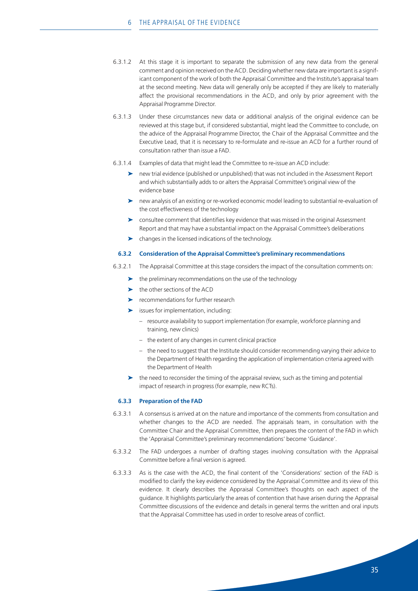- 6.3.1.2 At this stage it is important to separate the submission of any new data from the general comment and opinion received on the ACD. Deciding whether new data are important is a significant component of the work of both the Appraisal Committee and the Institute's appraisal team at the second meeting. New data will generally only be accepted if they are likely to materially affect the provisional recommendations in the ACD, and only by prior agreement with the Appraisal Programme Director.
- 6.3.1.3 Under these circumstances new data or additional analysis of the original evidence can be reviewed at this stage but, if considered substantial, might lead the Committee to conclude, on the advice of the Appraisal Programme Director, the Chair of the Appraisal Committee and the Executive Lead, that it is necessary to re-formulate and re-issue an ACD for a further round of consultation rather than issue a FAD.
- 6.3.1.4 Examples of data that might lead the Committee to re-issue an ACD include:
	- ➤ new trial evidence (published or unpublished) that was not included in the Assessment Report and which substantially adds to or alters the Appraisal Committee's original view of the evidence base
	- ➤ new analysis of an existing or re-worked economic model leading to substantial re-evaluation of the cost effectiveness of the technology
	- ➤ consultee comment that identifies key evidence that was missed in the original Assessment Report and that may have a substantial impact on the Appraisal Committee's deliberations
	- ➤ changes in the licensed indications of the technology.

#### **6.3.2 Consideration of the Appraisal Committee's preliminary recommendations**

- 6.3.2.1 The Appraisal Committee at this stage considers the impact of the consultation comments on:
	- ➤ the preliminary recommendations on the use of the technology
	- ➤ the other sections of the ACD
	- ➤ recommendations for further research
	- ➤ issues for implementation, including:
		- resource availability to support implementation (for example, workforce planning and training, new clinics)
		- the extent of any changes in current clinical practice
		- the need to suggest that the Institute should consider recommending varying their advice to the Department of Health regarding the application of implementation criteria agreed with the Department of Health
	- ➤ the need to reconsider the timing of the appraisal review, such as the timing and potential impact of research in progress (for example, new RCTs).

#### **6.3.3 Preparation of the FAD**

- 6.3.3.1 A consensus is arrived at on the nature and importance of the comments from consultation and whether changes to the ACD are needed. The appraisals team, in consultation with the Committee Chair and the Appraisal Committee, then prepares the content of the FAD in which the 'Appraisal Committee's preliminary recommendations' become 'Guidance'.
- 6.3.3.2 The FAD undergoes a number of drafting stages involving consultation with the Appraisal Committee before a final version is agreed.
- 6.3.3.3 As is the case with the ACD, the final content of the 'Considerations' section of the FAD is modified to clarify the key evidence considered by the Appraisal Committee and its view of this evidence. It clearly describes the Appraisal Committee's thoughts on each aspect of the guidance. It highlights particularly the areas of contention that have arisen during the Appraisal Committee discussions of the evidence and details in general terms the written and oral inputs that the Appraisal Committee has used in order to resolve areas of conflict.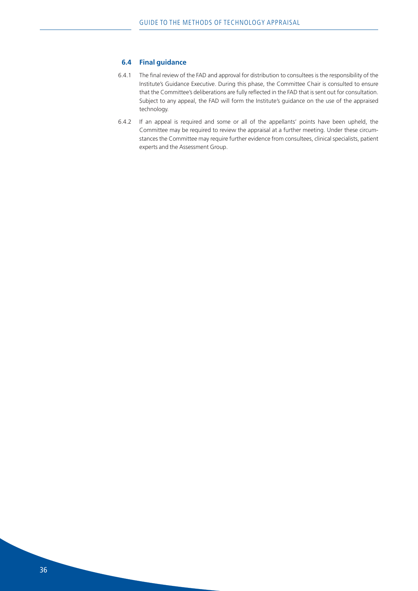# **6.4 Final guidance**

- 6.4.1 The final review of the FAD and approval for distribution to consultees is the responsibility of the Institute's Guidance Executive. During this phase, the Committee Chair is consulted to ensure that the Committee's deliberations are fully reflected in the FAD that is sent out for consultation. Subject to any appeal, the FAD will form the Institute's guidance on the use of the appraised technology.
- 6.4.2 If an appeal is required and some or all of the appellants' points have been upheld, the Committee may be required to review the appraisal at a further meeting. Under these circumstances the Committee may require further evidence from consultees, clinical specialists, patient experts and the Assessment Group.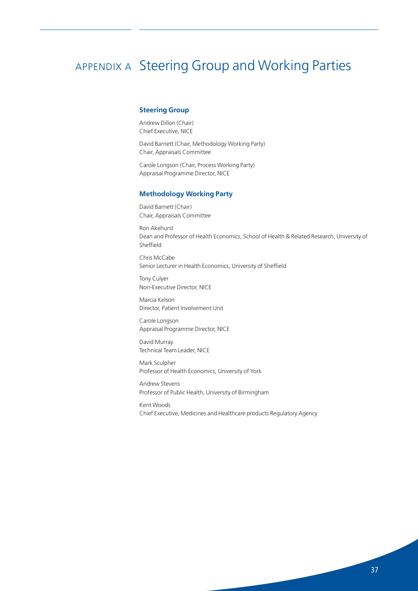# APPENDIX A Steering Group and Working Parties

# **Steering Group**

Andrew Dillon (Chair) Chief Executive, NICE

David Barnett (Chair, Methodology Working Party) Chair, Appraisals Committee

Carole Longson (Chair, Process Working Party) Appraisal Programme Director, NICE

# **Methodology Working Party**

David Barnett (Chair) Chair, Appraisals Committee

Ron Akehurst Dean and Professor of Health Economics, School of Health & Related Research, University of Sheffield

Chris McCabe Senior Lecturer in Health Economics, University of Sheffield

Tony Culyer Non-Executive Director, NICE

Marcia Kelson Director, Patient Involvement Unit

Carole Longson Appraisal Programme Director, NICE

David Murray Technical Team Leader, NICE

Mark Sculpher Professor of Health Economics, University of York

Andrew Stevens Professor of Public Health, University of Birmingham

Kent Woods Chief Executive, Medicines and Healthcare products Regulatory Agency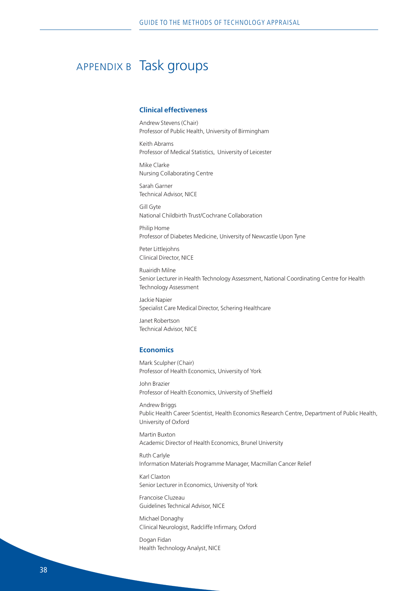# APPENDIX B Task groups

# **Clinical effectiveness**

Andrew Stevens (Chair) Professor of Public Health, University of Birmingham

Keith Abrams Professor of Medical Statistics, University of Leicester

Mike Clarke Nursing Collaborating Centre

Sarah Garner Technical Advisor, NICE

Gill Gyte National Childbirth Trust/Cochrane Collaboration

Philip Home Professor of Diabetes Medicine, University of Newcastle Upon Tyne

Peter Littlejohns Clinical Director, NICE

Ruairidh Milne Senior Lecturer in Health Technology Assessment, National Coordinating Centre for Health Technology Assessment

Jackie Napier Specialist Care Medical Director, Schering Healthcare

Janet Robertson Technical Advisor, NICE

# **Economics**

Mark Sculpher (Chair) Professor of Health Economics, University of York

John Brazier Professor of Health Economics, University of Sheffield

Andrew Briggs Public Health Career Scientist, Health Economics Research Centre, Department of Public Health, University of Oxford

Martin Buxton Academic Director of Health Economics, Brunel University

Ruth Carlyle Information Materials Programme Manager, Macmillan Cancer Relief

Karl Claxton Senior Lecturer in Economics, University of York

Francoise Cluzeau Guidelines Technical Advisor, NICE

Michael Donaghy Clinical Neurologist, Radcliffe Infirmary, Oxford

Dogan Fidan Health Technology Analyst, NICE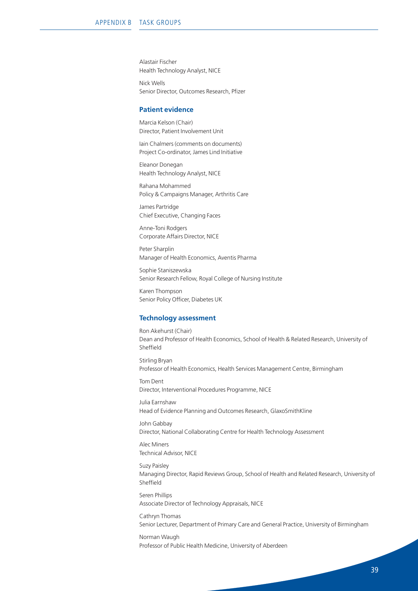Alastair Fischer Health Technology Analyst, NICE

Nick Wells Senior Director, Outcomes Research, Pfizer

## **Patient evidence**

Marcia Kelson (Chair) Director, Patient Involvement Unit

Iain Chalmers (comments on documents) Project Co-ordinator, James Lind Initiative

Eleanor Donegan Health Technology Analyst, NICE

Rahana Mohammed Policy & Campaigns Manager, Arthritis Care

James Partridge Chief Executive, Changing Faces

Anne-Toni Rodgers Corporate Affairs Director, NICE

Peter Sharplin Manager of Health Economics, Aventis Pharma

Sophie Staniszewska Senior Research Fellow, Royal College of Nursing Institute

Karen Thompson Senior Policy Officer, Diabetes UK

# **Technology assessment**

Ron Akehurst (Chair) Dean and Professor of Health Economics, School of Health & Related Research, University of Sheffield

Stirling Bryan Professor of Health Economics, Health Services Management Centre, Birmingham

Tom Dent Director, Interventional Procedures Programme, NICE

Julia Earnshaw Head of Evidence Planning and Outcomes Research, GlaxoSmithKline

John Gabbay Director, National Collaborating Centre for Health Technology Assessment

Alec Miners Technical Advisor, NICE

Suzy Paisley Managing Director, Rapid Reviews Group, School of Health and Related Research, University of Sheffield

Seren Phillips Associate Director of Technology Appraisals, NICE

Cathryn Thomas Senior Lecturer, Department of Primary Care and General Practice, University of Birmingham

Norman Waugh Professor of Public Health Medicine, University of Aberdeen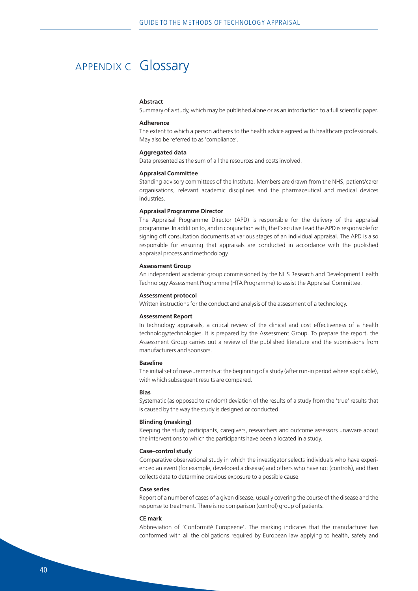# APPENDIX C Glossary

#### **Abstract**

Summary of a study, which may be published alone or as an introduction to a full scientific paper.

#### **Adherence**

The extent to which a person adheres to the health advice agreed with healthcare professionals. May also be referred to as 'compliance'.

## **Aggregated data**

Data presented as the sum of all the resources and costs involved.

## **Appraisal Committee**

Standing advisory committees of the Institute. Members are drawn from the NHS, patient/carer organisations, relevant academic disciplines and the pharmaceutical and medical devices industries.

# **Appraisal Programme Director**

The Appraisal Programme Director (APD) is responsible for the delivery of the appraisal programme. In addition to, and in conjunction with, the Executive Lead the APD is responsible for signing off consultation documents at various stages of an individual appraisal. The APD is also responsible for ensuring that appraisals are conducted in accordance with the published appraisal process and methodology.

# **Assessment Group**

An independent academic group commissioned by the NHS Research and Development Health Technology Assessment Programme (HTA Programme) to assist the Appraisal Committee.

# **Assessment protocol**

Written instructions for the conduct and analysis of the assessment of a technology.

#### **Assessment Report**

In technology appraisals, a critical review of the clinical and cost effectiveness of a health technology/technologies. It is prepared by the Assessment Group. To prepare the report, the Assessment Group carries out a review of the published literature and the submissions from manufacturers and sponsors.

#### **Baseline**

The initial set of measurements at the beginning of a study (after run-in period where applicable), with which subsequent results are compared.

#### **Bias**

Systematic (as opposed to random) deviation of the results of a study from the 'true' results that is caused by the way the study is designed or conducted.

#### **Blinding (masking)**

Keeping the study participants, caregivers, researchers and outcome assessors unaware about the interventions to which the participants have been allocated in a study.

## **Case–control study**

Comparative observational study in which the investigator selects individuals who have experienced an event (for example, developed a disease) and others who have not (controls), and then collects data to determine previous exposure to a possible cause.

# **Case series**

Report of a number of cases of a given disease, usually covering the course of the disease and the response to treatment. There is no comparison (control) group of patients.

### **CE mark**

Abbreviation of 'Conformité Européene'. The marking indicates that the manufacturer has conformed with all the obligations required by European law applying to health, safety and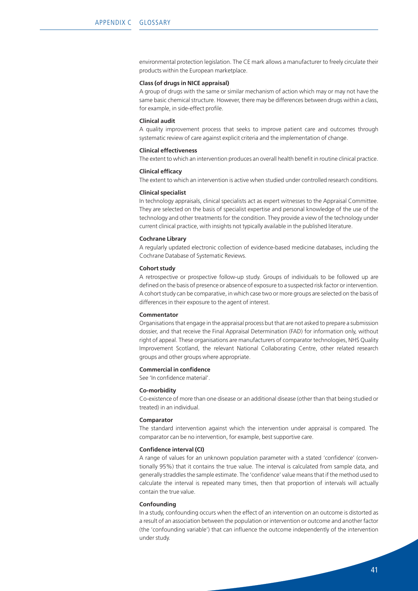environmental protection legislation. The CE mark allows a manufacturer to freely circulate their products within the European marketplace.

# **Class (of drugs in NICE appraisal)**

A group of drugs with the same or similar mechanism of action which may or may not have the same basic chemical structure. However, there may be differences between drugs within a class, for example, in side-effect profile.

# **Clinical audit**

A quality improvement process that seeks to improve patient care and outcomes through systematic review of care against explicit criteria and the implementation of change.

## **Clinical effectiveness**

The extent to which an intervention produces an overall health benefit in routine clinical practice.

# **Clinical efficacy**

The extent to which an intervention is active when studied under controlled research conditions.

#### **Clinical specialist**

In technology appraisals, clinical specialists act as expert witnesses to the Appraisal Committee. They are selected on the basis of specialist expertise and personal knowledge of the use of the technology and other treatments for the condition. They provide a view of the technology under current clinical practice, with insights not typically available in the published literature.

#### **Cochrane Library**

A regularly updated electronic collection of evidence-based medicine databases, including the Cochrane Database of Systematic Reviews.

# **Cohort study**

A retrospective or prospective follow-up study. Groups of individuals to be followed up are defined on the basis of presence or absence of exposure to a suspected risk factor or intervention. A cohort study can be comparative, in which case two or more groups are selected on the basis of differences in their exposure to the agent of interest.

#### **Commentator**

Organisations that engage in the appraisal process but that are not asked to prepare a submission dossier, and that receive the Final Appraisal Determination (FAD) for information only, without right of appeal. These organisations are manufacturers of comparator technologies, NHS Quality Improvement Scotland, the relevant National Collaborating Centre, other related research groups and other groups where appropriate.

### **Commercial in confidence**

See 'In confidence material'.

# **Co-morbidity**

Co-existence of more than one disease or an additional disease (other than that being studied or treated) in an individual.

# **Comparator**

The standard intervention against which the intervention under appraisal is compared. The comparator can be no intervention, for example, best supportive care.

# **Confidence interval (CI)**

A range of values for an unknown population parameter with a stated 'confidence' (conventionally 95%) that it contains the true value. The interval is calculated from sample data, and generally straddles the sample estimate. The 'confidence' value means that if the method used to calculate the interval is repeated many times, then that proportion of intervals will actually contain the true value.

# **Confounding**

In a study, confounding occurs when the effect of an intervention on an outcome is distorted as a result of an association between the population or intervention or outcome and another factor (the 'confounding variable') that can influence the outcome independently of the intervention under study.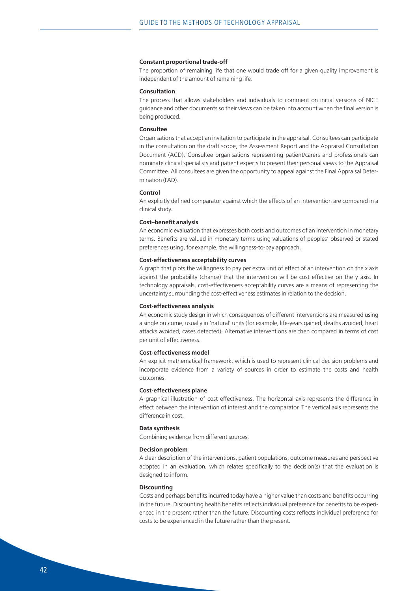#### **Constant proportional trade-off**

The proportion of remaining life that one would trade off for a given quality improvement is independent of the amount of remaining life.

# **Consultation**

The process that allows stakeholders and individuals to comment on initial versions of NICE guidance and other documents so their views can be taken into account when the final version is being produced.

#### **Consultee**

Organisations that accept an invitation to participate in the appraisal. Consultees can participate in the consultation on the draft scope, the Assessment Report and the Appraisal Consultation Document (ACD). Consultee organisations representing patient/carers and professionals can nominate clinical specialists and patient experts to present their personal views to the Appraisal Committee. All consultees are given the opportunity to appeal against the Final Appraisal Determination (FAD).

#### **Control**

An explicitly defined comparator against which the effects of an intervention are compared in a clinical study.

#### **Cost–benefit analysis**

An economic evaluation that expresses both costs and outcomes of an intervention in monetary terms. Benefits are valued in monetary terms using valuations of peoples' observed or stated preferences using, for example, the willingness-to-pay approach.

## **Cost-effectiveness acceptability curves**

A graph that plots the willingness to pay per extra unit of effect of an intervention on the x axis against the probability (chance) that the intervention will be cost effective on the y axis. In technology appraisals, cost-effectiveness acceptability curves are a means of representing the uncertainty surrounding the cost-effectiveness estimates in relation to the decision.

# **Cost-effectiveness analysis**

An economic study design in which consequences of different interventions are measured using a single outcome, usually in 'natural' units (for example, life-years gained, deaths avoided, heart attacks avoided, cases detected). Alternative interventions are then compared in terms of cost per unit of effectiveness.

## **Cost-effectiveness model**

An explicit mathematical framework, which is used to represent clinical decision problems and incorporate evidence from a variety of sources in order to estimate the costs and health outcomes.

#### **Cost-effectiveness plane**

A graphical illustration of cost effectiveness. The horizontal axis represents the difference in effect between the intervention of interest and the comparator. The vertical axis represents the difference in cost.

### **Data synthesis**

Combining evidence from different sources.

#### **Decision problem**

A clear description of the interventions, patient populations, outcome measures and perspective adopted in an evaluation, which relates specifically to the decision(s) that the evaluation is designed to inform.

## **Discounting**

Costs and perhaps benefits incurred today have a higher value than costs and benefits occurring in the future. Discounting health benefits reflects individual preference for benefits to be experienced in the present rather than the future. Discounting costs reflects individual preference for costs to be experienced in the future rather than the present.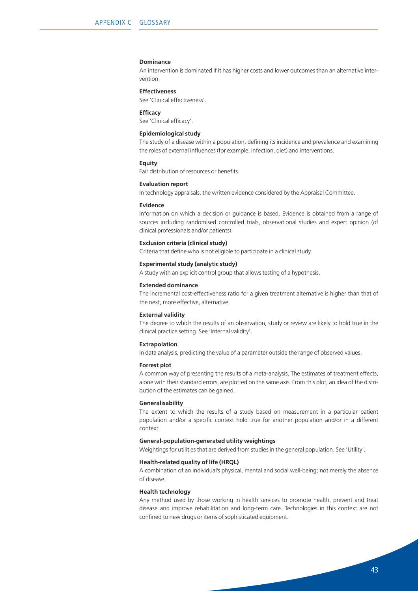#### **Dominance**

An intervention is dominated if it has higher costs and lower outcomes than an alternative intervention.

# **Effectiveness**

See 'Clinical effectiveness'.

# **Efficacy**

See 'Clinical efficacy'.

# **Epidemiological study**

The study of a disease within a population, defining its incidence and prevalence and examining the roles of external influences (for example, infection, diet) and interventions.

## **Equity**

Fair distribution of resources or benefits.

# **Evaluation report**

In technology appraisals, the written evidence considered by the Appraisal Committee.

## **Evidence**

Information on which a decision or guidance is based. Evidence is obtained from a range of sources including randomised controlled trials, observational studies and expert opinion (of clinical professionals and/or patients).

## **Exclusion criteria (clinical study)**

Criteria that define who is not eligible to participate in a clinical study.

# **Experimental study (analytic study)**

A study with an explicit control group that allows testing of a hypothesis.

#### **Extended dominance**

The incremental cost-effectiveness ratio for a given treatment alternative is higher than that of the next, more effective, alternative.

### **External validity**

The degree to which the results of an observation, study or review are likely to hold true in the clinical practice setting. See 'Internal validity'.

#### **Extrapolation**

In data analysis, predicting the value of a parameter outside the range of observed values.

## **Forrest plot**

A common way of presenting the results of a meta-analysis. The estimates of treatment effects, alone with their standard errors, are plotted on the same axis. From this plot, an idea of the distribution of the estimates can be gained.

#### **Generalisability**

The extent to which the results of a study based on measurement in a particular patient population and/or a specific context hold true for another population and/or in a different context.

# **General-population-generated utility weightings**

Weightings for utilities that are derived from studies in the general population. See 'Utility'.

# **Health-related quality of life (HRQL)**

A combination of an individual's physical, mental and social well-being; not merely the absence of disease.

#### **Health technology**

Any method used by those working in health services to promote health, prevent and treat disease and improve rehabilitation and long-term care. Technologies in this context are not confined to new drugs or items of sophisticated equipment.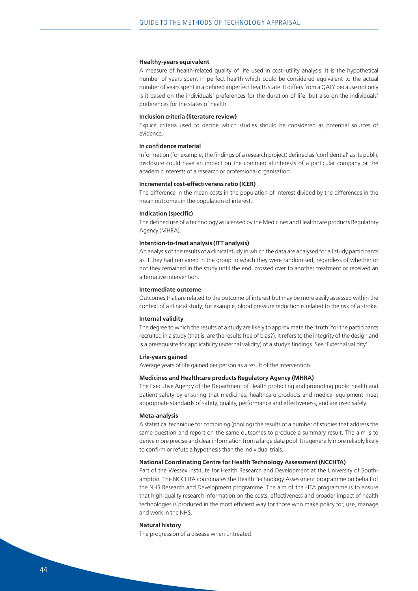#### **Healthy-years equivalent**

A measure of health-related quality of life used in cost–utility analysis. It is the hypothetical number of years spent in perfect health which could be considered equivalent to the actual number of years spent in a defined imperfect health state. It differs from a QALY because not only is it based on the individuals' preferences for the duration of life, but also on the individuals' preferences for the states of health.

## **Inclusion criteria (literature review)**

Explicit criteria used to decide which studies should be considered as potential sources of evidence.

# **In confidence material**

Information (for example, the findings of a research project) defined as 'confidential' as its public disclosure could have an impact on the commercial interests of a particular company or the academic interests of a research or professional organisation.

#### **Incremental cost-effectiveness ratio (ICER)**

The difference in the mean costs in the population of interest divided by the differences in the mean outcomes in the population of interest.

#### **Indication (specific)**

The defined use of a technology as licensed by the Medicines and Healthcare products Regulatory Agency (MHRA).

## **Intention-to-treat analysis (ITT analysis)**

An analysis of the results of a clinical study in which the data are analysed for all study participants as if they had remained in the group to which they were randomised, regardless of whether or not they remained in the study until the end, crossed over to another treatment or received an alternative intervention.

## **Intermediate outcome**

Outcomes that are related to the outcome of interest but may be more easily assessed within the context of a clinical study; for example, blood pressure reduction is related to the risk of a stroke.

### **Internal validity**

The degree to which the results of a study are likely to approximate the 'truth' for the participants recruited in a study (that is, are the results free of bias?). It refers to the integrity of the design and is a prerequisite for applicability (external validity) of a study's findings. See 'External validity'.

## **Life-years gained**

Average years of life gained per person as a result of the intervention.

#### **Medicines and Healthcare products Regulatory Agency (MHRA)**

The Executive Agency of the Department of Health protecting and promoting public health and patient safety by ensuring that medicines, healthcare products and medical equipment meet appropriate standards of safety, quality, performance and effectiveness, and are used safely.

#### **Meta-analysis**

A statistical technique for combining (pooling) the results of a number of studies that address the same question and report on the same outcomes to produce a summary result. The aim is to derive more precise and clear information from a large data pool. It is generally more reliably likely to confirm or refute a hypothesis than the individual trials.

#### **National Coordinating Centre for Health Technology Assessment (NCCHTA)**

Part of the Wessex Institute for Health Research and Development at the University of Southampton. The NCCHTA coordinates the Health Technology Assessment programme on behalf of the NHS Research and Development programme. The aim of the HTA programme is to ensure that high-quality research information on the costs, effectiveness and broader impact of health technologies is produced in the most efficient way for those who make policy for, use, manage and work in the NHS.

#### **Natural history**

The progression of a disease when untreated.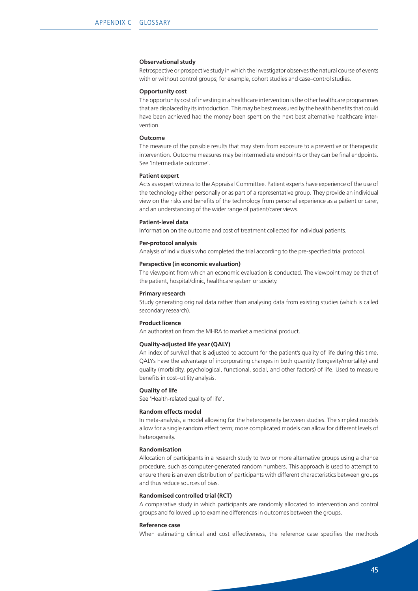#### **Observational study**

Retrospective or prospective study in which the investigator observes the natural course of events with or without control groups; for example, cohort studies and case–control studies.

#### **Opportunity cost**

The opportunity cost of investing in a healthcare intervention is the other healthcare programmes that are displaced by its introduction. This may be best measured by the health benefits that could have been achieved had the money been spent on the next best alternative healthcare intervention.

# **Outcome**

The measure of the possible results that may stem from exposure to a preventive or therapeutic intervention. Outcome measures may be intermediate endpoints or they can be final endpoints. See 'Intermediate outcome'.

#### **Patient expert**

Acts as expert witness to the Appraisal Committee. Patient experts have experience of the use of the technology either personally or as part of a representative group. They provide an individual view on the risks and benefits of the technology from personal experience as a patient or carer, and an understanding of the wider range of patient/carer views.

# **Patient-level data**

Information on the outcome and cost of treatment collected for individual patients.

### **Per-protocol analysis**

Analysis of individuals who completed the trial according to the pre-specified trial protocol.

## **Perspective (in economic evaluation)**

The viewpoint from which an economic evaluation is conducted. The viewpoint may be that of the patient, hospital/clinic, healthcare system or society.

#### **Primary research**

Study generating original data rather than analysing data from existing studies (which is called secondary research).

#### **Product licence**

An authorisation from the MHRA to market a medicinal product.

#### **Quality-adjusted life year (QALY)**

An index of survival that is adjusted to account for the patient's quality of life during this time. QALYs have the advantage of incorporating changes in both quantity (longevity/mortality) and quality (morbidity, psychological, functional, social, and other factors) of life. Used to measure benefits in cost–utility analysis.

# **Quality of life**

See 'Health-related quality of life'.

### **Random effects model**

In meta-analysis, a model allowing for the heterogeneity between studies. The simplest models allow for a single random effect term; more complicated models can allow for different levels of heterogeneity.

# **Randomisation**

Allocation of participants in a research study to two or more alternative groups using a chance procedure, such as computer-generated random numbers. This approach is used to attempt to ensure there is an even distribution of participants with different characteristics between groups and thus reduce sources of bias.

# **Randomised controlled trial (RCT)**

A comparative study in which participants are randomly allocated to intervention and control groups and followed up to examine differences in outcomes between the groups.

#### **Reference case**

When estimating clinical and cost effectiveness, the reference case specifies the methods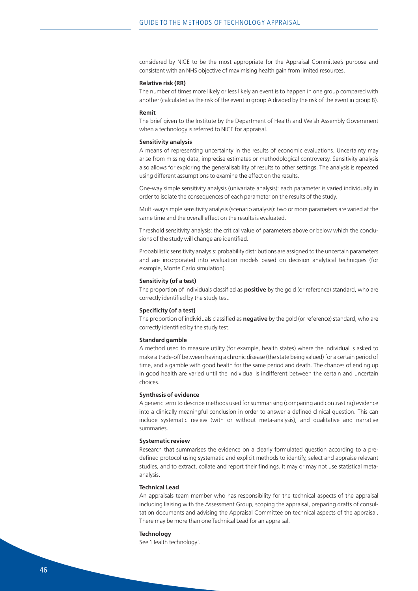considered by NICE to be the most appropriate for the Appraisal Committee's purpose and consistent with an NHS objective of maximising health gain from limited resources.

## **Relative risk (RR)**

The number of times more likely or less likely an event is to happen in one group compared with another (calculated as the risk of the event in group A divided by the risk of the event in group B).

# **Remit**

The brief given to the Institute by the Department of Health and Welsh Assembly Government when a technology is referred to NICE for appraisal.

### **Sensitivity analysis**

A means of representing uncertainty in the results of economic evaluations. Uncertainty may arise from missing data, imprecise estimates or methodological controversy. Sensitivity analysis also allows for exploring the generalisability of results to other settings. The analysis is repeated using different assumptions to examine the effect on the results.

One-way simple sensitivity analysis (univariate analysis): each parameter is varied individually in order to isolate the consequences of each parameter on the results of the study.

Multi-way simple sensitivity analysis (scenario analysis): two or more parameters are varied at the same time and the overall effect on the results is evaluated.

Threshold sensitivity analysis: the critical value of parameters above or below which the conclusions of the study will change are identified.

Probabilistic sensitivity analysis: probability distributions are assigned to the uncertain parameters and are incorporated into evaluation models based on decision analytical techniques (for example, Monte Carlo simulation).

#### **Sensitivity (of a test)**

The proportion of individuals classified as **positive** by the gold (or reference) standard, who are correctly identified by the study test.

# **Specificity (of a test)**

The proportion of individuals classified as **negative** by the gold (or reference) standard, who are correctly identified by the study test.

#### **Standard gamble**

A method used to measure utility (for example, health states) where the individual is asked to make a trade-off between having a chronic disease (the state being valued) for a certain period of time, and a gamble with good health for the same period and death. The chances of ending up in good health are varied until the individual is indifferent between the certain and uncertain choices.

## **Synthesis of evidence**

A generic term to describe methods used for summarising (comparing and contrasting) evidence into a clinically meaningful conclusion in order to answer a defined clinical question. This can include systematic review (with or without meta-analysis), and qualitative and narrative summaries.

# **Systematic review**

Research that summarises the evidence on a clearly formulated question according to a predefined protocol using systematic and explicit methods to identify, select and appraise relevant studies, and to extract, collate and report their findings. It may or may not use statistical metaanalysis.

#### **Technical Lead**

An appraisals team member who has responsibility for the technical aspects of the appraisal including liaising with the Assessment Group, scoping the appraisal, preparing drafts of consultation documents and advising the Appraisal Committee on technical aspects of the appraisal. There may be more than one Technical Lead for an appraisal.

# **Technology**

See 'Health technology'.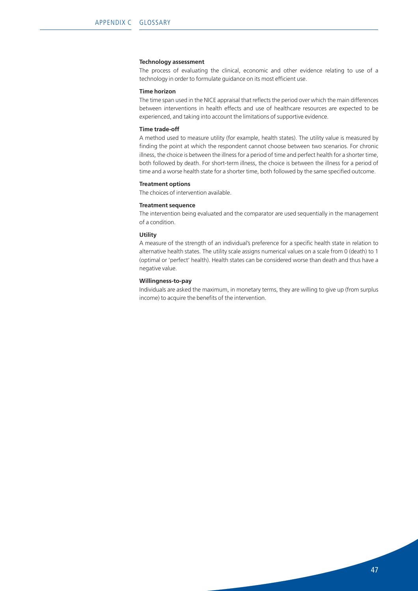#### **Technology assessment**

The process of evaluating the clinical, economic and other evidence relating to use of a technology in order to formulate guidance on its most efficient use.

## **Time horizon**

The time span used in the NICE appraisal that reflects the period over which the main differences between interventions in health effects and use of healthcare resources are expected to be experienced, and taking into account the limitations of supportive evidence.

### **Time trade-off**

A method used to measure utility (for example, health states). The utility value is measured by finding the point at which the respondent cannot choose between two scenarios. For chronic illness, the choice is between the illness for a period of time and perfect health for a shorter time, both followed by death. For short-term illness, the choice is between the illness for a period of time and a worse health state for a shorter time, both followed by the same specified outcome.

### **Treatment options**

The choices of intervention available.

# **Treatment sequence**

The intervention being evaluated and the comparator are used sequentially in the management of a condition.

## **Utility**

A measure of the strength of an individual's preference for a specific health state in relation to alternative health states. The utility scale assigns numerical values on a scale from 0 (death) to 1 (optimal or 'perfect' health). Health states can be considered worse than death and thus have a negative value.

# **Willingness-to-pay**

Individuals are asked the maximum, in monetary terms, they are willing to give up (from surplus income) to acquire the benefits of the intervention.